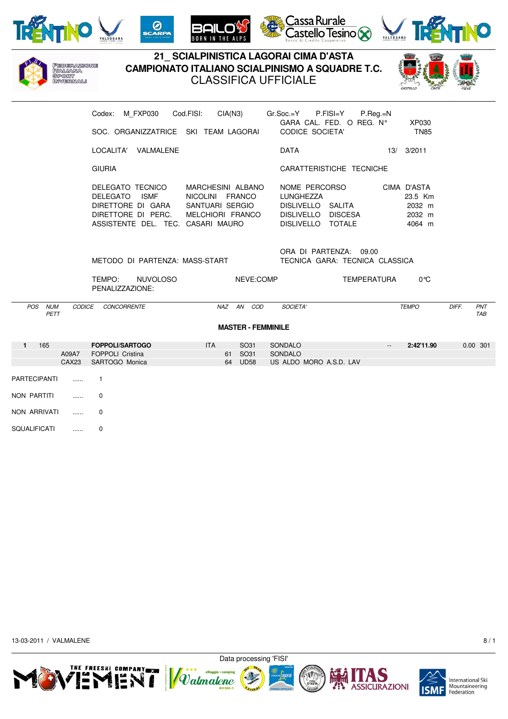







## **21\_ SCIALPINISTICA LAGORAI CIMA D'ASTA** Federazione<br>Italiana **CAMPIONATO ITALIANO SCIALPINISMO A SQUADRE T.C. SPORT** CLASSIFICA UFFICIALE **INVERNALI** Codex: M\_FXP030 Cod.FISI: CIA(N3) Gr.Soc.=Y P.FISI=Y P.Reg.=N GARA CAL. FED. O REG. N° XP030 SOC. ORGANIZZATRICE SKI TEAM LAGORAI CODICE SOCIETA' TN85 LOCALITA' VALMALENE 13/ 2011 DATA 213/ 2011 GIURIA CARATTERISTICHE TECNICHE DELEGATO TECNICO MARCHESINI ALBANO NOME PERCORSO CIMA D'ASTA DELEGATO ISMF NICOLINI FRANCO LUNGHEZZA 23.5 Km DIRETTORE DI GARA SANTUARI SERGIO DISLIVELLO SALITA 2032 m DIRETTORE DI PERC. MELCHIORI FRANCO DISLIVELLO DISCESA 2032 m ASSISTENTE DEL. TEC. CASARI MAURO DISLIVELLO TOTALE 4064 m ORA DI PARTENZA: 09.00 METODO DI PARTENZA: MASS-START TECNICA GARA: TECNICA CLASSICA TEMPO: NUVOLOSO NEVE:COMP TEMPERATURA 0°C PENALIZZAZIONE: POS NUM CODICE CONCORRENTE NAZ AN COD SOCIETA' TEMPO DIFF. PNT PETT TABLES TO A SERVICE THE SERVICE OF THE SERVICE OF THE SERVICE OF THE SERVICE OF THE SERVICE OF THE SERVICE **MASTER - FEMMINILE 1** 165 **FOPPOLI/SARTOGO** ITA SO31 SONDALO -- **2:42'11.90** 0.00 301 A09A7 FOPPOLI Cristina 61 SO31 SONDALO<br>CAX23 SARTOGO Monica 64 UD58 USALDO US ALDO MORO A.S.D. LAV PARTECIPANTI ...... 1 NON PARTITI ...... 0 NON ARRIVATI ...... 0

SQUALIFICATI ...... 0

13-03-2011 / VALMALENE 8 / 1



Data processing 'FISI'

*Valmalene* 









**International Ski** Mountaineering Federation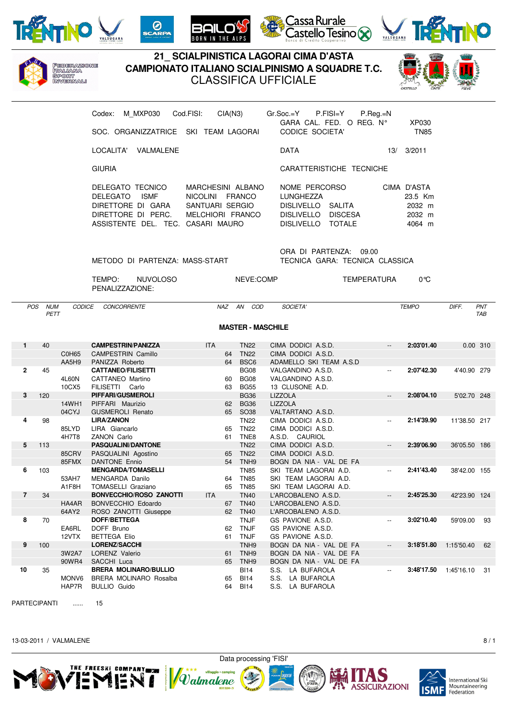









PARTECIPANTI ...... 15

13-03-2011 / VALMALENE 8 / 1





MONV6 BRERA MOLINARO Rosalba 65 BI14 S.S. LA BUFAROLA HAP7R BULLIO Guido 64 BI14 S.S. LA BUFAROLA

**10** 35 **BRERA MOLINARO/BULLIO** BI14 S.S. LA BUFAROLA -- **3:48'17.50** 1:45'16.10 31





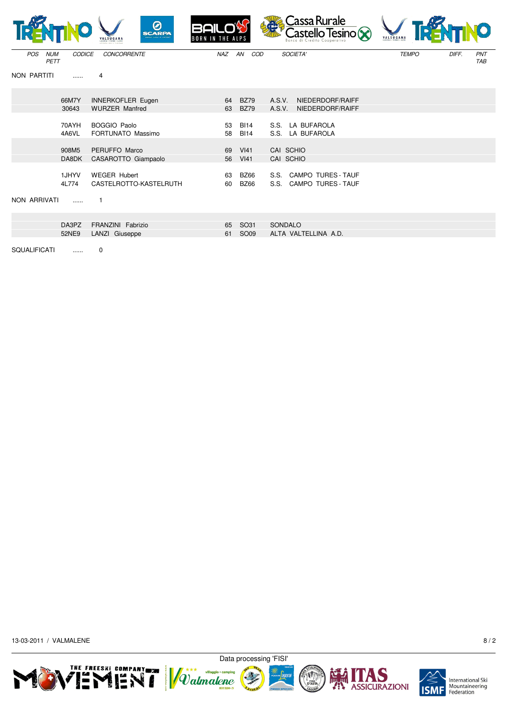|                           |                | 0<br><b>SCARPA</b>                            | <b>BAILO'S</b><br><b>BORN IN THE ALPS</b> |                            | Cassa Rurale<br>375<br>$\sum_{\text{Bonce of C read to Coseportivity}}$ | 峰<br>VALSUGANA |                            |
|---------------------------|----------------|-----------------------------------------------|-------------------------------------------|----------------------------|-------------------------------------------------------------------------|----------------|----------------------------|
| <b>NUM</b><br>POS<br>PETT | <b>CODICE</b>  | <b>CONCORRENTE</b>                            | NAZ                                       | AN<br>COD                  | SOCIETA'                                                                | <b>TEMPO</b>   | DIFF.<br>PNT<br><b>TAB</b> |
| NON PARTITI               | 1.1.1.1        | 4                                             |                                           |                            |                                                                         |                |                            |
|                           | 66M7Y          | <b>INNERKOFLER Eugen</b>                      | 64                                        | <b>BZ79</b>                | A.S.V.<br>NIEDERDORF/RAIFF                                              |                |                            |
|                           | 30643          | <b>WURZER Manfred</b>                         | 63                                        | <b>BZ79</b>                | A.S.V.<br>NIEDERDORF/RAIFF                                              |                |                            |
|                           | 70AYH          | <b>BOGGIO Paolo</b>                           | 53                                        | <b>BI14</b>                | S.S. LA BUFAROLA                                                        |                |                            |
|                           | 4A6VL          | FORTUNATO Massimo                             | 58                                        | <b>BI14</b>                | S.S. LA BUFAROLA                                                        |                |                            |
|                           |                |                                               |                                           |                            |                                                                         |                |                            |
|                           | 908M5          | PERUFFO Marco                                 | 69                                        | <b>VI41</b>                | CAI SCHIO                                                               |                |                            |
|                           | DA8DK          | CASAROTTO Giampaolo                           | 56                                        | V <sub>141</sub>           | CAI SCHIO                                                               |                |                            |
|                           | 1JHYV<br>4L774 | <b>WEGER Hubert</b><br>CASTELROTTO-KASTELRUTH | 63<br>60                                  | <b>BZ66</b><br><b>BZ66</b> | S.S. CAMPO TURES - TAUF<br>S.S. CAMPO TURES - TAUF                      |                |                            |
| NON ARRIVATI              | 1.1.1.1        |                                               |                                           |                            |                                                                         |                |                            |
|                           |                |                                               |                                           |                            |                                                                         |                |                            |
|                           | DA3PZ          | FRANZINI Fabrizio                             | 65                                        | SO31                       | SONDALO                                                                 |                |                            |
|                           | 52NE9          | LANZI Giuseppe                                | 61                                        | SO <sub>09</sub>           | ALTA VALTELLINA A.D.                                                    |                |                            |
| <b>SQUALIFICATI</b>       |                | 0                                             |                                           |                            |                                                                         |                |                            |

D

13-03-2011 / VALMALENE 8/2











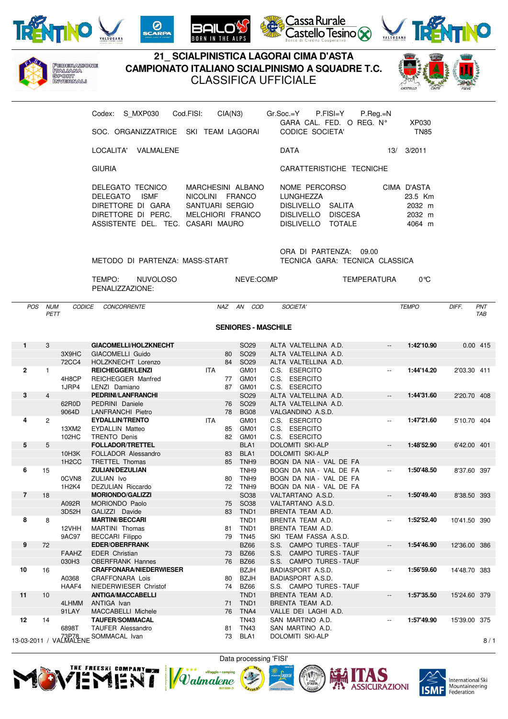

Federazione<br>Italiana SPORT<br>SPORT







## **21\_ SCIALPINISTICA LAGORAI CIMA D'ASTA CAMPIONATO ITALIANO SCIALPINISMO A SQUADRE T.C.** CLASSIFICA UFFICIALE



| S MXP030<br>Codex:<br>SOC. ORGANIZZATRICE SKI TEAM LAGORAL                                                        | Cod.FISI:<br>CIA(N3)                                                                  | P.FISI=Y<br>$P_{\cdot}$ Rea. $=N$<br>Gr.Soc.=Y<br>GARA CAL. FED. O REG. N°<br>CODICE SOCIETA'                                   |     | XP030<br><b>TN85</b>                                 |
|-------------------------------------------------------------------------------------------------------------------|---------------------------------------------------------------------------------------|---------------------------------------------------------------------------------------------------------------------------------|-----|------------------------------------------------------|
| VALMALENE<br>LOCALITA'                                                                                            |                                                                                       | <b>DATA</b>                                                                                                                     | 13/ | 3/2011                                               |
| <b>GIURIA</b>                                                                                                     |                                                                                       | CARATTERISTICHE TECNICHE                                                                                                        |     |                                                      |
| DELEGATO TECNICO<br>DELEGATO ISME<br>DIRETTORE DI GARA<br>DIRETTORE DI PERC.<br>ASSISTENTE DEL. TEC. CASARI MAURO | MARCHESINI ALBANO<br>FRANCO<br><b>NICOLINI</b><br>SANTUARI SERGIO<br>MELCHIORI FRANCO | NOME PERCORSO<br><b>LUNGHEZZA</b><br><b>DISLIVELLO</b><br>SALITA<br><b>DISLIVELLO</b><br><b>DISCESA</b><br>DISLIVELLO<br>TOTALE |     | CIMA D'ASTA<br>23.5 Km<br>2032 m<br>2032 m<br>4064 m |

ORA DI PARTENZA: 09.00 METODO DI PARTENZA: MASS-START TECNICA GARA: TECNICA CLASSICA

TEMPO: NUVOLOSO NEVE:COMP TEMPERATURA 0°C PENALIZZAZIONE:

POS NUM CODICE CONCORRENTE NAZ AN COD SOCIETA' TEMPO DIFF. PNT PETT TABLES TO A SERVICE THE SERVICE OF THE SERVICE OF THE SERVICE OF THE SERVICE OF THE SERVICE OF THE SERVICE

**SENIORES - MASCHILE**

| $\mathbf{1}$   | 3              |                                | GIACOMELLI/HOLZKNECHT            |            |    | SO <sub>29</sub> | ALTA VALTELLINA A.D.              | $\overline{\phantom{a}}$ | 1:42'10.90 | 0.00 415     |     |
|----------------|----------------|--------------------------------|----------------------------------|------------|----|------------------|-----------------------------------|--------------------------|------------|--------------|-----|
|                |                | 3X9HC                          | GIACOMELLI Guido                 |            | 80 | SO <sub>29</sub> | ALTA VALTELLINA A.D.              |                          |            |              |     |
|                |                | <b>72CC4</b>                   | HOLZKNECHT Lorenzo               |            | 84 | SO <sub>29</sub> | ALTA VALTELLINA A.D.              |                          |            |              |     |
| $\mathbf{2}$   | $\mathbf{1}$   |                                | <b>REICHEGGER/LENZI</b>          | <b>ITA</b> |    | GM01             | C.S. ESERCITO                     | $\overline{\phantom{a}}$ | 1:44'14.20 | 2'03.30 411  |     |
|                |                | 4H8CP                          | <b>REICHEGGER Manfred</b>        |            | 77 | GM01             | C.S. ESERCITO                     |                          |            |              |     |
|                |                | 1JRP4                          | LENZI Damiano                    |            | 87 | GM01             | C.S. ESERCITO                     |                          |            |              |     |
| 3              | $\overline{4}$ |                                | PEDRINI/LANFRANCHI               |            |    | SO <sub>29</sub> | ALTA VALTELLINA A.D.              | $\overline{\phantom{a}}$ | 1:44'31.60 | 2'20.70 408  |     |
|                |                | 62R0D                          | PEDRINI Daniele                  |            | 76 | SO <sub>29</sub> | ALTA VALTELLINA A.D.              |                          |            |              |     |
|                |                | 9064D                          | <b>LANFRANCHI Pietro</b>         |            | 78 | <b>BG08</b>      | VALGANDINO A.S.D.                 |                          |            |              |     |
| 4              | $\overline{2}$ |                                | <b>EYDALLIN/TRENTO</b>           | <b>ITA</b> |    | GM01             | C.S. ESERCITO                     | $\overline{\phantom{a}}$ | 1:47'21.60 | 5'10.70 404  |     |
|                |                | 13XM2                          | <b>EYDALLIN Matteo</b>           |            | 85 | GM01             | C.S. ESERCITO                     |                          |            |              |     |
|                |                | 102HC                          | <b>TRENTO Denis</b>              |            | 82 | GM01             | C.S. ESERCITO                     |                          |            |              |     |
| 5              | 5              |                                | <b>FOLLADOR/TRETTEL</b>          |            |    | BLA1             | <b>DOLOMITI SKI-ALP</b>           | $\overline{\phantom{a}}$ | 1:48'52.90 | 6'42.00 401  |     |
|                |                | 10H3K                          | FOLLADOR Alessandro              |            | 83 | BLA1             | <b>DOLOMITI SKI-ALP</b>           |                          |            |              |     |
|                |                | 1H <sub>2</sub> CC             | <b>TRETTEL Thomas</b>            |            | 85 | TNH <sub>9</sub> | BOGN DA NIA - VAL DE FA           |                          |            |              |     |
| 6              | 15             |                                | <b>ZULIAN/DEZULIAN</b>           |            |    | TNH <sub>9</sub> | BOGN DA NIA - VAL DE FA           | $\overline{\phantom{a}}$ | 1:50'48.50 | 8'37.60 397  |     |
|                |                | 0CVN8                          | ZULIAN Ivo                       |            | 80 | TNH <sub>9</sub> | BOGN DA NIA - VAL DE FA           |                          |            |              |     |
|                |                | 1H <sub>2</sub> K <sub>4</sub> | DEZULIAN Riccardo                |            | 72 | TNH9             | BOGN DA NIA - VAL DE FA           |                          |            |              |     |
| $\overline{7}$ | 18             |                                | <b>MORIONDO/GALIZZI</b>          |            |    | <b>SO38</b>      | VALTARTANO A.S.D.                 | $\overline{\phantom{a}}$ | 1:50'49.40 | 8'38.50 393  |     |
|                |                | A092R                          | MORIONDO Paolo                   |            | 75 | <b>SO38</b>      | VALTARTANO A.S.D.                 |                          |            |              |     |
|                |                | 3D52H                          | GALIZZI Davide                   |            | 83 | TND1             | BRENTA TEAM A.D.                  |                          |            |              |     |
| 8              | 8              |                                | <b>MARTINI/BECCARI</b>           |            |    | TND <sub>1</sub> | BRENTA TEAM A.D.                  | $\overline{\phantom{a}}$ | 1:52'52.40 | 10'41.50 390 |     |
|                |                | 12VHH                          | <b>MARTINI</b> Thomas            |            | 81 | TND <sub>1</sub> | BRENTA TEAM A.D.                  |                          |            |              |     |
|                |                | 9AC97                          | <b>BECCARI Filippo</b>           |            | 79 | <b>TN45</b>      | SKI TEAM FASSA A.S.D.             |                          |            |              |     |
| 9              | 72             |                                | <b>EDER/OBERFRANK</b>            |            |    | <b>BZ66</b>      | S.S. CAMPO TURES - TAUF           | $\overline{\phantom{a}}$ | 1:54'46.90 | 12'36.00 386 |     |
|                |                | <b>FAAHZ</b>                   | <b>EDER Christian</b>            |            | 73 | <b>BZ66</b>      | S.S.<br><b>CAMPO TURES - TAUF</b> |                          |            |              |     |
|                |                | 030H3                          | <b>OBERFRANK Hannes</b>          |            | 76 | <b>BZ66</b>      | S.S. CAMPO TURES - TAUF           |                          |            |              |     |
| 10             | 16             |                                | <b>CRAFFONARA/NIEDERWIESER</b>   |            |    | <b>BZJH</b>      | BADIASPORT A.S.D.                 | $\overline{\phantom{a}}$ | 1:56'59.60 | 14'48.70 383 |     |
|                |                | A0368                          | <b>CRAFFONARA Lois</b>           |            | 80 | <b>BZJH</b>      | BADIASPORT A.S.D.                 |                          |            |              |     |
|                |                | HAAF4                          | NIEDERWIESER Christof            |            | 74 | <b>BZ66</b>      | S.S. CAMPO TURES - TAUF           |                          |            |              |     |
| 11             | 10             |                                | <b>ANTIGA/MACCABELLI</b>         |            |    | TND <sub>1</sub> | BRENTA TEAM A.D.                  | $\overline{\phantom{a}}$ | 1:57'35.50 | 15'24.60 379 |     |
|                |                | 4LHMM                          | ANTIGA Ivan                      |            | 71 | TND <sub>1</sub> | BRENTA TEAM A.D.                  |                          |            |              |     |
|                |                | 91LAY                          | MACCABELLI Michele               |            | 76 | TNA4             | VALLE DEI LAGHI A.D.              |                          |            |              |     |
| 12             | 14             |                                | <b>TAUFER/SOMMACAL</b>           |            |    | <b>TN43</b>      | SAN MARTINO A.D.                  | $\overline{\phantom{a}}$ | 1:57'49.90 | 15'39.00 375 |     |
|                |                | 6898T                          | <b>TAUFER Alessandro</b>         |            | 81 | <b>TN43</b>      | SAN MARTINO A.D.                  |                          |            |              |     |
|                |                |                                | 13-03-2011 / 73P78 SOMMACAL Ivan |            | 73 | BLA1             | <b>DOLOMITI SKI-ALP</b>           |                          |            |              |     |
|                |                |                                |                                  |            |    |                  |                                   |                          |            |              | 8/1 |









International Ski<br>Mountaineering Federation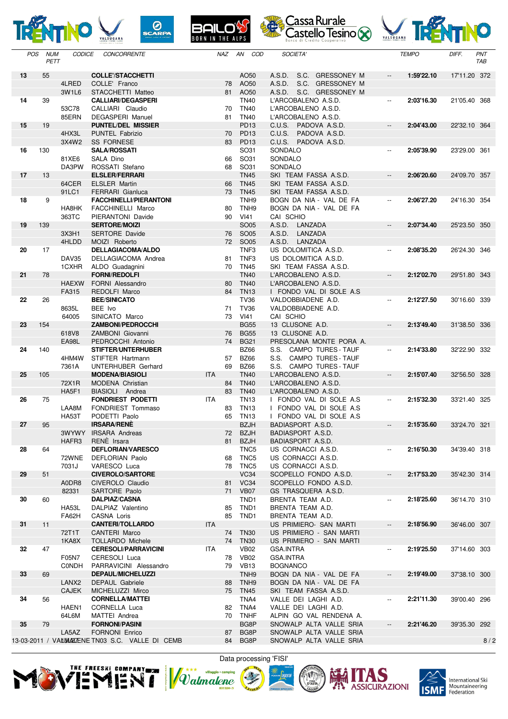









| POS: | <b>NUM</b><br>PETT | <b>CODICE</b>     | <b>CONCORRENTE</b>                               | NAZ        |          | AN COD                          | <b>SUCIETA</b>                                    |                          | <i><b>IEMPO</b></i> | DIFF.        | <b>PNI</b><br>TAB |
|------|--------------------|-------------------|--------------------------------------------------|------------|----------|---------------------------------|---------------------------------------------------|--------------------------|---------------------|--------------|-------------------|
| 13   | 55                 |                   | <b>COLLE'/STACCHETTI</b>                         |            |          | AO50                            | A.S.D.<br>S.C. GRESSONEY M                        | $\overline{\phantom{a}}$ | 1:59'22.10          | 17'11.20 372 |                   |
|      |                    | 4LRED             | COLLE' Franco                                    |            | 78       | AO50                            | A.S.D.<br>S.C. GRESSONEY M                        |                          |                     |              |                   |
|      |                    | 3W1L6             | STACCHETTI Matteo                                |            | 81       | AO50                            | A.S.D. S.C. GRESSONEY M                           |                          |                     |              |                   |
| 14   | 39                 |                   | <b>CALLIARI/DEGASPERI</b>                        |            |          | <b>TN40</b>                     | L'ARCOBALENO A.S.D.                               | $\overline{\phantom{a}}$ | 2:03'16.30          | 21'05.40 368 |                   |
|      |                    | 53C78             | CALLIARI Claudio                                 |            | 70       | <b>TN40</b>                     | L'ARCOBALENO A.S.D.                               |                          |                     |              |                   |
|      |                    | 85ERN             | DEGASPERI Manuel                                 |            | 81       | <b>TN40</b>                     | L'ARCOBALENO A.S.D.                               |                          |                     |              |                   |
| 15   | 19                 | 4HX3L             | <b>PUNTEL/DEL MISSIER</b>                        |            |          | <b>PD13</b><br>PD <sub>13</sub> | C.U.S. PADOVA A.S.D.                              | $\overline{\phantom{a}}$ | 2:04'43.00          | 22'32.10 364 |                   |
|      |                    | 3X4W2             | PUNTEL Fabrizio<br><b>SS FORNESE</b>             |            | 70<br>83 | <b>PD13</b>                     | C.U.S.<br>PADOVA A.S.D.<br>C.U.S. PADOVA A.S.D.   |                          |                     |              |                   |
| 16   | 130                |                   | <b>SALA/ROSSATI</b>                              |            |          | SO31                            | SONDALO                                           | $\overline{\phantom{a}}$ | 2:05'39.90          | 23'29.00 361 |                   |
|      |                    | 81XE6             | SALA Dino                                        |            | 66       | SO31                            | SONDALO                                           |                          |                     |              |                   |
|      |                    | DA3PW             | ROSSATI Stefano                                  |            | 68       | SO31                            | SONDALO                                           |                          |                     |              |                   |
| 17   | 13                 |                   | <b>ELSLER/FERRARI</b>                            |            |          | <b>TN45</b>                     | SKI TEAM FASSA A.S.D.                             | $\overline{\phantom{a}}$ | 2:06'20.60          | 24'09.70 357 |                   |
|      |                    | 64CER             | <b>ELSLER Martin</b>                             |            | 66       | <b>TN45</b>                     | SKI TEAM FASSA A.S.D.                             |                          |                     |              |                   |
|      |                    | 91LC1             | <b>FERRARI</b> Gianluca                          |            | 73       | <b>TN45</b>                     | SKI TEAM FASSA A.S.D.                             |                          |                     |              |                   |
| 18   | 9                  |                   | <b>FACCHINELLI/PIERANTONI</b>                    |            |          | TNH <sub>9</sub>                | BOGN DA NIA - VAL DE FA                           | $\overline{\phantom{a}}$ | 2:06'27.20          | 24'16.30 354 |                   |
|      |                    | HA8HK<br>363TC    | FACCHINELLI Marco<br>PIERANTONI Davide           |            | 80<br>90 | TNH <sub>9</sub><br>VI41        | BOGN DA NIA - VAL DE FA<br>CAI SCHIO              |                          |                     |              |                   |
| 19   | 139                |                   | <b>SERTORE/MOIZI</b>                             |            |          | <b>SO05</b>                     | A.S.D. LANZADA                                    | $\overline{\phantom{a}}$ | 2:07'34.40          | 25'23.50 350 |                   |
|      |                    | 3X3H1             | <b>SERTORE Davide</b>                            |            | 76       | SO05                            | A.S.D.<br>LANZADA                                 |                          |                     |              |                   |
|      |                    | 4HLDD             | MOIZI Roberto                                    |            |          | 72 SO05                         | A.S.D.<br>LANZADA                                 |                          |                     |              |                   |
| 20   | 17                 |                   | <b>DELLAGIACOMA/ALDO</b>                         |            |          | TNF <sub>3</sub>                | US DOLOMITICA A.S.D.                              | $\overline{\phantom{a}}$ | 2:08'35.20          | 26'24.30 346 |                   |
|      |                    | <b>DAV35</b>      | DELLAGIACOMA Andrea                              |            | 81       | TNF <sub>3</sub>                | US DOLOMITICA A.S.D.                              |                          |                     |              |                   |
|      |                    | 1CXHR             | ALDO Guadagnini                                  |            | 70       | <b>TN45</b>                     | SKI TEAM FASSA A.S.D.                             |                          |                     |              |                   |
| 21   | 78                 |                   | <b>FORNI/REDOLFI</b>                             |            |          | <b>TN40</b>                     | L'ARCOBALENO A.S.D.                               | $\overline{\phantom{a}}$ | 2:12'02.70          | 29'51.80 343 |                   |
|      |                    | <b>HAEXW</b>      | FORNI Alessandro                                 |            | 80       | <b>TN40</b>                     | L'ARCOBALENO A.S.D.                               |                          |                     |              |                   |
| 22   | 26                 | FA315             | REDOLFI Marco<br><b>BEE/SINICATO</b>             |            | 84       | <b>TN13</b><br><b>TV36</b>      | I FONDO VAL DI SOLE A.S<br>VALDOBBIADENE A.D.     | $\overline{\phantom{a}}$ | 2:12'27.50          | 30'16.60 339 |                   |
|      |                    | 8635L             | BEE Ivo                                          |            | 71       | <b>TV36</b>                     | VALDOBBIADENE A.D.                                |                          |                     |              |                   |
|      |                    | 64005             | SINICATO Marco                                   |            | 73       | VI41                            | CAI SCHIO                                         |                          |                     |              |                   |
| 23   | 154                |                   | <b>ZAMBONI/PEDROCCHI</b>                         |            |          | <b>BG55</b>                     | 13 CLUSONE A.D.                                   | $\overline{\phantom{a}}$ | 2:13'49.40          | 31'38.50 336 |                   |
|      |                    | 618V8             | ZAMBONI Giovanni                                 |            | 76       | <b>BG55</b>                     | 13 CLUSONE A.D.                                   |                          |                     |              |                   |
|      |                    | <b>EA98L</b>      | PEDROCCHI Antonio                                |            | 74       | <b>BG21</b>                     | PRESOLANA MONTE PORA A.                           |                          |                     |              |                   |
| 24   | 140                |                   | <b>STIFTER/UNTERHUBER</b>                        |            |          | <b>BZ66</b>                     | S.S. CAMPO TURES - TAUF                           | $\overline{\phantom{a}}$ | 2:14'33.80          | 32'22.90 332 |                   |
|      |                    | 4HM4W             | STIFTER Hartmann                                 |            | 57       | <b>BZ66</b>                     | S.S. CAMPO TURES - TAUF                           |                          |                     |              |                   |
| 25   | 105                | 7361A             | UNTERHUBER Gerhard<br><b>MODENA/BIASIOLI</b>     | <b>ITA</b> | 69       | <b>BZ66</b><br><b>TN40</b>      | S.S. CAMPO TURES - TAUF<br>L'ARCOBALENO A.S.D.    | $\overline{\phantom{a}}$ | 2:15'07.40          |              |                   |
|      |                    | 72X1R             | MODENA Christian                                 |            | 84       | <b>TN40</b>                     | L'ARCOBALENO A.S.D.                               |                          |                     | 32'56.50 328 |                   |
|      |                    | HA5F1             | BIASIOLI Andrea                                  |            | 83       | <b>TN40</b>                     | L'ARCOBALENO A.S.D.                               |                          |                     |              |                   |
| 26   | 75                 |                   | FONDRIEST PODETTI                                | ITA        |          | <b>TN13</b>                     | I FONDO VAL DI SOLE A.S                           | $\overline{\phantom{a}}$ | 2:15'32.30          | 33'21.40 325 |                   |
|      |                    | LAA8M             | FONDRIEST Tommaso                                |            | 83       | <b>TN13</b>                     | I FONDO VAL DI SOLE A.S                           |                          |                     |              |                   |
|      |                    | <b>HA53T</b>      | PODETTI Paolo                                    |            | 65       | <b>TN13</b>                     | I FONDO VAL DI SOLE A.S                           |                          |                     |              |                   |
| 27   | 95                 |                   | <b>IRSARA/RENE</b>                               |            |          | <b>BZJH</b>                     | BADIASPORT A.S.D.                                 | $\overline{\phantom{a}}$ | 2:15'35.60          | 33'24.70 321 |                   |
|      |                    |                   | <b>3WYWY IRSARA Andreas</b>                      |            |          | 72 BZJH                         | <b>BADIASPORT A.S.D.</b>                          |                          |                     |              |                   |
|      |                    | HAFR3             | RENÈ Irsara                                      |            |          | 81 BZJH                         | BADIASPORT A.S.D.                                 |                          |                     |              |                   |
| 28   | 64                 | 72WNE             | <b>DEFLORIAN/VARESCO</b><br>DEFLORIAN Paolo      |            | 68       | TNC5<br>TNC5                    | US CORNACCI A.S.D.<br>US CORNACCI A.S.D.          | $\overline{\phantom{a}}$ | 2:16'50.30          | 34'39.40 318 |                   |
|      |                    | 7031J             | VARESCO Luca                                     |            | 78       | TNC5                            | US CORNACCI A.S.D.                                |                          |                     |              |                   |
| 29   | 51                 |                   | <b>CIVEROLO/SARTORE</b>                          |            |          | <b>VC34</b>                     | SCOPELLO FONDO A.S.D.                             | $\overline{\phantom{a}}$ | 2:17'53.20          | 35'42.30 314 |                   |
|      |                    | A0DR8             | CIVEROLO Claudio                                 |            |          | 81 VC34                         | SCOPELLO FONDO A.S.D.                             |                          |                     |              |                   |
|      |                    | 82331             | SARTORE Paolo                                    |            |          | 71 VB07                         | GS TRASQUERA A.S.D.                               |                          |                     |              |                   |
| 30   | 60                 |                   | <b>DALPIAZ/CASNA</b>                             |            |          | TND <sub>1</sub>                | BRENTA TEAM A.D.                                  | $\overline{\phantom{a}}$ | 2:18'25.60          | 36'14.70 310 |                   |
|      |                    | HA53L             | DALPIAZ Valentino                                |            | 85       | TND1                            | BRENTA TEAM A.D.                                  |                          |                     |              |                   |
|      |                    | FA62H             | CASNA Loris                                      |            | 85       | TND1                            | BRENTA TEAM A.D.                                  |                          |                     |              |                   |
| 31   | 11                 | 72T1T             | <b>CANTERI/TOLLARDO</b><br>CANTERI Marco         | <b>ITA</b> | 74       | <b>TN30</b>                     | US PRIMIERO- SAN MARTI<br>US PRIMIERO - SAN MARTI | $\overline{\phantom{a}}$ | 2:18'56.90          | 36'46.00 307 |                   |
|      |                    | 1KA8X             | <b>TOLLARDO Michele</b>                          |            | 74       | <b>TN30</b>                     | US PRIMIERO - SAN MARTI                           |                          |                     |              |                   |
| 32   | 47                 |                   | <b>CERESOLI/PARRAVICINI</b>                      | ITA.       |          | <b>VB02</b>                     | GSA.INTRA                                         | $\overline{\phantom{a}}$ | 2:19'25.50          | 37'14.60 303 |                   |
|      |                    | F05N7             | CERESOLI Luca                                    |            | 78       | <b>VB02</b>                     | <b>GSA.INTRA</b>                                  |                          |                     |              |                   |
|      |                    | CONDH             | PARRAVICINI Alessandro                           |            | 79       | <b>VB13</b>                     | <b>BOGNANCO</b>                                   |                          |                     |              |                   |
| 33   | 69                 |                   | <b>DEPAUL/MICHELUZZI</b>                         |            |          | TNH <sub>9</sub>                | BOGN DA NIA - VAL DE FA                           | $\overline{\phantom{a}}$ | 2:19'49.00          | 37'38.10 300 |                   |
|      |                    | LANX <sub>2</sub> | <b>DEPAUL Gabriele</b>                           |            | 88       | TNH <sub>9</sub>                | BOGN DA NIA - VAL DE FA                           |                          |                     |              |                   |
|      |                    | <b>CAJEK</b>      | MICHELUZZI Mirco                                 |            | 75       | <b>TN45</b>                     | SKI TEAM FASSA A.S.D.                             |                          |                     |              |                   |
| 34   | 56                 |                   | <b>CORNELLA/MATTEI</b>                           |            |          | TNA4                            | VALLE DEI LAGHI A.D.                              | $\overline{\phantom{a}}$ | 2:21'11.30          | 39'00.40 296 |                   |
|      |                    | HAEN1             | CORNELLA Luca                                    |            | 82<br>70 | TNA4<br><b>TNHF</b>             | VALLE DEI LAGHI A.D.<br>ALPIN GO VAL RENDENA A.   |                          |                     |              |                   |
| 35   | 79                 | 64L6M             | MATTEI Andrea<br><b>FORNONI/PASINI</b>           |            |          | BG8P                            | SNOWALP ALTA VALLE SRIA                           | $\overline{\phantom{a}}$ | 2:21'46.20          | 39'35.30 292 |                   |
|      |                    | LA5AZ             | FORNONI Enrico                                   |            | 87       | BG8P                            | SNOWALP ALTA VALLE SRIA                           |                          |                     |              |                   |
|      |                    |                   | 13-03-2011 / VALLWAZZENE TN03 S.C. VALLE DI CEMB |            | 84       | BG8P                            | SNOWALP ALTA VALLE SRIA                           |                          |                     |              | 8/2               |











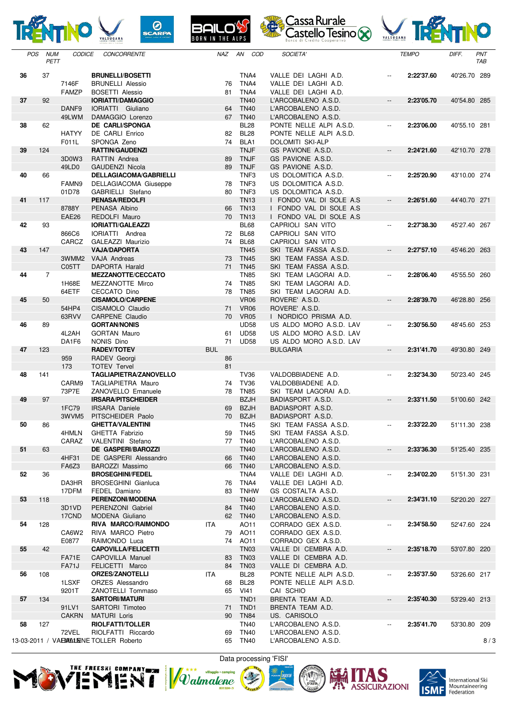









|    | <b>POS</b> | <b>NUM</b><br>PETT | <b>CODICE</b>                  | <b>CONCORRENTE</b>                                   |            | NAZ      | AN COD                          | SOCIETA'                                           |                            | <b>TEMPO</b> | DIFF.        | PNT<br>TAB |
|----|------------|--------------------|--------------------------------|------------------------------------------------------|------------|----------|---------------------------------|----------------------------------------------------|----------------------------|--------------|--------------|------------|
| 36 |            | 37                 |                                | <b>BRUNELLI/BOSETTI</b>                              |            |          | TNA4                            | VALLE DEI LAGHI A.D.                               |                            | 2:22'37.60   | 40'26.70 289 |            |
|    |            |                    | 7146F                          | <b>BRUNELLI Alessio</b>                              |            | 76       | TNA4                            | VALLE DEI LAGHI A.D.                               |                            |              |              |            |
|    |            |                    | <b>FAMZP</b>                   | <b>BOSETTI Alessio</b>                               |            | 81       | TNA4                            | VALLE DEI LAGHI A.D.                               |                            |              |              |            |
| 37 |            | 92                 | DANF <sub>9</sub>              | <b>IORIATTI/DAMAGGIO</b><br>IORIATTI Giuliano        |            | 64       | <b>TN40</b><br><b>TN40</b>      | L'ARCOBALENO A.S.D.<br>L'ARCOBALENO A.S.D.         | $\overline{\phantom{a}}$   | 2:23'05.70   | 40'54.80 285 |            |
|    |            |                    | 49LWM                          | DAMAGGIO Lorenzo                                     |            | 67       | <b>TN40</b>                     | L'ARCOBALENO A.S.D.                                |                            |              |              |            |
| 38 |            | 62                 |                                | <b>DE CARLI/SPONGA</b>                               |            |          | <b>BL28</b>                     | PONTE NELLE ALPI A.S.D.                            | $\mathcal{L}(\mathcal{L})$ | 2:23'06.00   | 40'55.10 281 |            |
|    |            |                    | <b>HATYY</b>                   | DE CARLI Enrico                                      |            | 82       | <b>BL28</b>                     | PONTE NELLE ALPI A.S.D.                            |                            |              |              |            |
|    |            |                    | F011L                          | SPONGA Zeno                                          |            |          | 74 BLA1                         | DOLOMITI SKI-ALP                                   |                            |              |              |            |
| 39 |            | 124                |                                | <b>RATTIN/GAUDENZI</b>                               |            |          | <b>TNJF</b>                     | GS PAVIONE A.S.D.<br>GS PAVIONE A.S.D.             | $\overline{\phantom{a}}$   | 2:24'21.60   | 42'10.70 278 |            |
|    |            |                    | 3D0W3<br>49LD0                 | RATTIN Andrea<br><b>GAUDENZI Nicola</b>              |            | 89<br>89 | <b>TNJF</b><br><b>TNJF</b>      | GS PAVIONE A.S.D.                                  |                            |              |              |            |
| 40 |            | 66                 |                                | <b>DELLAGIACOMA/GABRIELLI</b>                        |            |          | TNF <sub>3</sub>                | US DOLOMITICA A.S.D.                               | $\mathbf{L}$               | 2:25'20.90   | 43'10.00 274 |            |
|    |            |                    | FAMN9                          | DELLAGIACOMA Giuseppe                                |            | 78       | TNF3                            | US DOLOMITICA A.S.D.                               |                            |              |              |            |
|    |            |                    | 01D78                          | GABRIELLI Stefano                                    |            | 80       | TNF3                            | US DOLOMITICA A.S.D.                               |                            |              |              |            |
| 41 |            | 117                |                                | <b>PENASA/REDOLFI</b>                                |            |          | <b>TN13</b>                     | I FONDO VAL DI SOLE A.S                            | $\overline{\phantom{a}}$   | 2:26'51.60   | 44'40.70 271 |            |
|    |            |                    | 8788Y                          | PENASA Albino                                        |            | 66       | <b>TN13</b>                     | I FONDO VAL DI SOLE A.S                            |                            |              |              |            |
| 42 |            | 93                 | EAE26                          | REDOLFI Mauro<br><b>IORIATTI/GALEAZZI</b>            |            | 70       | <b>TN13</b><br><b>BL68</b>      | I FONDO VAL DI SOLE A.S<br>CAPRIOLI SAN VITO       | $\mathcal{L}(\mathcal{L})$ | 2:27'38.30   | 45'27.40 267 |            |
|    |            |                    | 866C6                          | IORIATTI Andrea                                      |            |          | 72 BL68                         | CAPRIOLI SAN VITO                                  |                            |              |              |            |
|    |            |                    | CARCZ                          | GALEAZZI Maurizio                                    |            | 74       | BL68                            | CAPRIOLI SAN VITO                                  |                            |              |              |            |
| 43 |            | 147                |                                | <b>VAJA/DAPORTA</b>                                  |            |          | <b>TN45</b>                     | SKI TEAM FASSA A.S.D.                              | $\overline{\phantom{a}}$   | 2:27'57.10   | 45'46.20 263 |            |
|    |            |                    | 3WMM2 VAJA Andreas             |                                                      |            | 73       | <b>TN45</b>                     | SKI TEAM FASSA A.S.D.                              |                            |              |              |            |
|    |            |                    | C05TT                          | DAPORTA Harald                                       |            |          | 71 TN45                         | SKI TEAM FASSA A.S.D.                              |                            | 2:28'06.40   |              |            |
| 44 |            | $\overline{7}$     | 1H68E                          | <b>MEZZANOTTE/CECCATO</b><br>MEZZANOTTE Mirco        |            | 74       | <b>TN85</b><br><b>TN85</b>      | SKI TEAM LAGORAI A.D.<br>SKI TEAM LAGORAI A.D.     | $\overline{\phantom{a}}$   |              | 45'55.50 260 |            |
|    |            |                    | 64ETF                          | CECCATO Dino                                         |            | 78       | <b>TN85</b>                     | SKI TEAM LAGORAI A.D.                              |                            |              |              |            |
| 45 |            | 50                 |                                | <b>CISAMOLO/CARPENE</b>                              |            |          | <b>VR06</b>                     | ROVERE' A.S.D.                                     | $\overline{\phantom{a}}$   | 2:28'39.70   | 46'28.80 256 |            |
|    |            |                    | 54HP4                          | CISAMOLO Claudio                                     |            | 71       | <b>VR06</b>                     | ROVERE' A.S.D.                                     |                            |              |              |            |
|    |            |                    | 63RVV                          | CARPENE Claudio                                      |            | 70       | <b>VR05</b>                     | I NORDICO PRISMA A.D.                              |                            |              |              |            |
| 46 |            | 89                 |                                | <b>GORTAN/NONIS</b>                                  |            |          | <b>UD58</b>                     | US ALDO MORO A.S.D. LAV                            | $\mathcal{L}(\mathcal{L})$ | 2:30'56.50   | 48'45.60 253 |            |
|    |            |                    | 4L2AH<br>DA1F6                 | <b>GORTAN Mauro</b><br>NONIS Dino                    |            | 61<br>71 | <b>UD58</b><br><b>UD58</b>      | US ALDO MORO A.S.D. LAV<br>US ALDO MORO A.S.D. LAV |                            |              |              |            |
| 47 |            | 123                |                                | <b>RADEV/TOTEV</b>                                   | <b>BUL</b> |          |                                 | <b>BULGARIA</b>                                    | $\overline{\phantom{a}}$   | 2:31'41.70   | 49'30.80 249 |            |
|    |            |                    | 959                            | RADEV Georgi                                         |            | 86       |                                 |                                                    |                            |              |              |            |
|    |            |                    | 173                            | <b>TOTEV Tervel</b>                                  |            | 81       |                                 |                                                    |                            |              |              |            |
| 48 |            | 141                |                                | TAGLIAPIETRA/ZANOVELLO                               |            |          | <b>TV36</b>                     | VALDOBBIADENE A.D.                                 | $\mathbf{L}$               | 2:32'34.30   | 50'23.40 245 |            |
|    |            |                    | CARM9<br>73P7E                 | <b>TAGLIAPIETRA Mauro</b><br>ZANOVELLO Emanuele      |            | 74<br>78 | <b>TV36</b><br><b>TN85</b>      | VALDOBBIADENE A.D.<br>SKI TEAM LAGORAI A.D.        |                            |              |              |            |
| 49 |            | 97                 |                                | <b>IRSARA/PITSCHEIDER</b>                            |            |          | <b>BZJH</b>                     | BADIASPORT A.S.D.                                  | $\overline{\phantom{a}}$   | 2:33'11.50   | 51'00.60 242 |            |
|    |            |                    | 1FC79                          | <b>IRSARA Daniele</b>                                |            | 69       | <b>BZJH</b>                     | BADIASPORT A.S.D.                                  |                            |              |              |            |
|    |            |                    | 3WVM5                          | PITSCHEIDER Paolo                                    |            | 70       | <b>BZJH</b>                     | <b>BADIASPORT A.S.D.</b>                           |                            |              |              |            |
| 50 |            | 86                 |                                | <b>GHETTA/VALENTINI</b>                              |            |          | <b>TN45</b>                     | SKI TEAM FASSA A.S.D.                              | $\overline{\phantom{a}}$   | 2:33'22.20   | 51'11.30 238 |            |
|    |            |                    | 4HMLN                          | GHETTA Fabrizio                                      |            | 59       | <b>TN45</b>                     | SKI TEAM FASSA A.S.D.                              |                            |              |              |            |
| 51 |            | 63                 |                                | CARAZ VALENTINI Stefano<br><b>DE GASPERI/BAROZZI</b> |            |          | 77 TN40<br><b>TN40</b>          | L'ARCOBALENO A.S.D.<br>L'ARCOBALENO A.S.D.         | $\overline{\phantom{a}}$   | 2:33'36.30   | 51'25.40 235 |            |
|    |            |                    | 4HF31                          | DE GASPERI Alessandro                                |            | 66       | <b>TN40</b>                     | L'ARCOBALENO A.S.D.                                |                            |              |              |            |
|    |            |                    | <b>FA6Z3</b>                   | BAROZZI Massimo                                      |            |          | 66 TN40                         | L'ARCOBALENO A.S.D.                                |                            |              |              |            |
| 52 |            | 36                 |                                | <b>BROSEGHINI/FEDEL</b>                              |            |          | TNA4                            | VALLE DEI LAGHI A.D.                               | $\overline{\phantom{a}}$   | 2:34'02.20   | 51'51.30 231 |            |
|    |            |                    | DA3HR                          | <b>BROSEGHINI</b> Gianluca                           |            | 76       | TNA4                            | VALLE DEI LAGHI A.D.                               |                            |              |              |            |
| 53 |            | 118                | 17DFM                          | FEDEL Damiano<br>PERENZONI/MODENA                    |            | 83       | TNHW<br><b>TN40</b>             | GS COSTALTA A.S.D.<br>L'ARCOBALENO A.S.D.          | $\overline{\phantom{a}}$   | 2:34'31.10   | 52'20.20 227 |            |
|    |            |                    | 3D <sub>1</sub> V <sub>D</sub> | PERENZONI Gabriel                                    |            | 84       | <b>TN40</b>                     | L'ARCOBALENO A.S.D.                                |                            |              |              |            |
|    |            |                    | 17CND                          | MODENA Giuliano                                      |            | 62       | <b>TN40</b>                     | L'ARCOBALENO A.S.D.                                |                            |              |              |            |
| 54 |            | 128                |                                | RIVA MARCO/RAIMONDO                                  | ITA.       |          | AO11                            | CORRADO GEX A.S.D.                                 | $\overline{\phantom{a}}$   | 2:34'58.50   | 52'47.60 224 |            |
|    |            |                    | CA6W <sub>2</sub>              | RIVA MARCO Pietro                                    |            | 79       | AO11                            | CORRADO GEX A.S.D.                                 |                            |              |              |            |
|    |            |                    | E0877                          | RAIMONDO Luca                                        |            |          | 74 AO11                         | CORRADO GEX A.S.D.                                 |                            |              |              |            |
| 55 |            | 42                 | <b>FA71E</b>                   | <b>CAPOVILLA/FELICETTI</b><br>CAPOVILLA Manuel       |            | 83       | <b>TN03</b><br>TN <sub>03</sub> | VALLE DI CEMBRA A.D.<br>VALLE DI CEMBRA A.D.       | $\overline{\phantom{a}}$   | 2:35'18.70   | 53'07.80 220 |            |
|    |            |                    | <b>FA71J</b>                   | FELICETTI Marco                                      |            | 84       | TN <sub>03</sub>                | VALLE DI CEMBRA A.D.                               |                            |              |              |            |
| 56 |            | 108                |                                | <b>ORZES/ZANOTELLI</b>                               | ITA.       |          | <b>BL28</b>                     | PONTE NELLE ALPI A.S.D.                            | $\hspace{0.05cm} \ldots$   | 2:35'37.50   | 53'26.60 217 |            |
|    |            |                    | 1LSXF                          | <b>ORZES</b> Alessandro                              |            | 68       | BL <sub>28</sub>                | PONTE NELLE ALPI A.S.D.                            |                            |              |              |            |
|    |            |                    | 9201T                          | ZANOTELLI Tommaso                                    |            |          | 65 VI41                         | CAI SCHIO                                          |                            |              |              |            |
| 57 |            | 134                | 91LV1                          | <b>SARTORI/MATURI</b>                                |            |          | TND <sub>1</sub>                | BRENTA TEAM A.D.                                   | $\overline{\phantom{a}}$   | 2:35'40.30   | 53'29.40 213 |            |
|    |            |                    | <b>CAKRN</b>                   | SARTORI Timoteo<br><b>MATURI Loris</b>               |            | 71<br>90 | TND1<br><b>TN84</b>             | BRENTA TEAM A.D.<br>US. CARISOLO                   |                            |              |              |            |
| 58 |            | 127                |                                | <b>RIOLFATTI/TOLLER</b>                              |            |          | <b>TN40</b>                     | L'ARCOBALENO A.S.D.                                |                            | 2:35'41.70   | 53'30.80 209 |            |
|    |            |                    | 72VEL                          | RIOLFATTI Riccardo                                   |            | 69       | <b>TN40</b>                     | L'ARCOBALENO A.S.D.                                |                            |              |              |            |
|    |            |                    |                                | 13-03-2011 / VAEMALIENE TOLLER Roberto               |            |          | 65 TN40                         | L'ARCOBALENO A.S.D.                                |                            |              |              | 8/3        |
|    |            |                    |                                |                                                      |            |          |                                 |                                                    |                            |              |              |            |



E







l<br>| International Ski<br>| Mountaineering<br>| Federation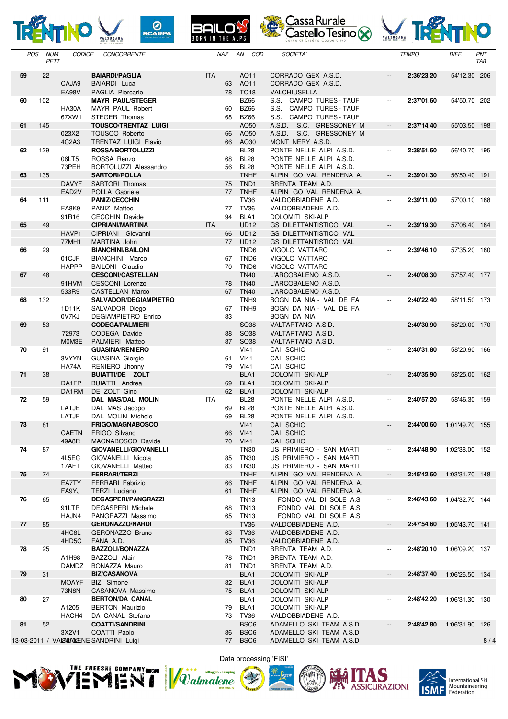







| <b>POS</b> | <b>NUM</b> | <b>CODICE</b><br>PETT | CONCORRENTE                                       |            | NAZ      | AN COD                      | SOCIETA'                                           |                                               | <b>TEMPO</b> | DIFF.          | PNT<br><b>TAB</b> |
|------------|------------|-----------------------|---------------------------------------------------|------------|----------|-----------------------------|----------------------------------------------------|-----------------------------------------------|--------------|----------------|-------------------|
| 59         | 22         |                       | <b>BAIARDI/PAGLIA</b>                             | <b>ITA</b> |          | AO11                        | CORRADO GEX A.S.D.                                 | $\overline{\phantom{a}}$                      | 2:36'23.20   |                |                   |
|            |            | CAJA9                 | <b>BAIARDI</b> Luca                               |            | 63       | AO11                        | CORRADO GEX A.S.D.                                 |                                               |              | 54'12.30 206   |                   |
|            |            | <b>EA98V</b>          | PAGLIA Piercarlo                                  |            | 78       | <b>TO18</b>                 | VALCHIUSELLA                                       |                                               |              |                |                   |
| 60         | 102        |                       | <b>MAYR PAUL/STEGER</b>                           |            |          | <b>BZ66</b>                 | S.S. CAMPO TURES - TAUF                            | $\overline{\phantom{a}}$                      | 2:37'01.60   | 54'50.70 202   |                   |
|            |            | <b>HA30A</b><br>67XW1 | MAYR PAUL Robert<br>STEGER Thomas                 |            | 60<br>68 | <b>BZ66</b><br><b>BZ66</b>  | S.S. CAMPO TURES - TAUF<br>S.S. CAMPO TURES - TAUF |                                               |              |                |                   |
| 61         | 145        |                       | <b>TOUSCO/TRENTAZ LUIGI</b>                       |            |          | AO50                        | A.S.D. S.C. GRESSONEY M                            | $\overline{\phantom{a}}$                      | 2:37'14.40   | 55'03.50 198   |                   |
|            |            | 023X2                 | <b>TOUSCO Roberto</b>                             |            | 66       | AO50                        | A.S.D. S.C. GRESSONEY M                            |                                               |              |                |                   |
|            |            | 4C2A3                 | <b>TRENTAZ LUIGI Flavio</b>                       |            | 66       | AO30                        | MONT NERY A.S.D.                                   |                                               |              |                |                   |
| 62         | 129        | 06LT5                 | <b>ROSSA/BORTOLUZZI</b><br>ROSSA Renzo            |            | 68       | <b>BL28</b><br><b>BL28</b>  | PONTE NELLE ALPI A.S.D.<br>PONTE NELLE ALPI A.S.D. | $\mathord{\hspace{1pt}\text{--}\hspace{1pt}}$ | 2:38'51.60   | 56'40.70 195   |                   |
|            |            | 73PEH                 | BORTOLUZZI Alessandro                             |            | 56       | <b>BL28</b>                 | PONTE NELLE ALPI A.S.D.                            |                                               |              |                |                   |
| 63         | 135        |                       | <b>SARTORI/POLLA</b>                              |            |          | <b>TNHF</b>                 | ALPIN GO VAL RENDENA A.                            | $\overline{\phantom{a}}$                      | 2:39'01.30   | 56'50.40 191   |                   |
|            |            | <b>DAVYF</b>          | SARTORI Thomas                                    |            | 75       | TND <sub>1</sub>            | BRENTA TEAM A.D.                                   |                                               |              |                |                   |
|            |            | EAD <sub>2V</sub>     | POLLA Gabriele                                    |            | 77       | <b>TNHF</b>                 | ALPIN GO VAL RENDENA A.                            |                                               |              |                |                   |
| 64         | 111        | FA8K9                 | <b>PANIZ/CECCHIN</b><br>PANIZ Matteo              |            | 77       | <b>TV36</b><br><b>TV36</b>  | VALDOBBIADENE A.D.<br>VALDOBBIADENE A.D.           | $\overline{\phantom{a}}$                      | 2:39'11.00   | 57'00.10 188   |                   |
|            |            | 91R16                 | <b>CECCHIN Davide</b>                             |            | 94       | BLA <sub>1</sub>            | DOLOMITI SKI-ALP                                   |                                               |              |                |                   |
| 65         | 49         |                       | <b>CIPRIANI/MARTINA</b>                           | <b>ITA</b> |          | <b>UD12</b>                 | <b>GS DILETTANTISTICO VAL</b>                      | $\overline{\phantom{a}}$                      | 2:39'19.30   | 57'08.40 184   |                   |
|            |            | HAVP1                 | CIPRIANI Giovanni                                 |            | 66       | <b>UD12</b>                 | <b>GS DILETTANTISTICO VAL</b>                      |                                               |              |                |                   |
| 66         | 29         | 77MH1                 | MARTINA John<br><b>BIANCHINI/BAILONI</b>          |            |          | 77 UD12<br>TND <sub>6</sub> | <b>GS DILETTANTISTICO VAL</b><br>VIGOLO VATTARO    | $\overline{\phantom{a}}$                      | 2:39'46.10   | 57'35.20 180   |                   |
|            |            | 01CJF                 | <b>BIANCHINI Marco</b>                            |            | 67       | TND <sub>6</sub>            | VIGOLO VATTARO                                     |                                               |              |                |                   |
|            |            | <b>HAPPP</b>          | <b>BAILONI</b> Claudio                            |            | 70       | TND <sub>6</sub>            | VIGOLO VATTARO                                     |                                               |              |                |                   |
| 67         | 48         |                       | <b>CESCONI/CASTELLAN</b>                          |            |          | <b>TN40</b>                 | L'ARCOBALENO A.S.D.                                | ΞĒ,                                           | 2:40'08.30   | 57'57.40 177   |                   |
|            |            | 91HVM<br>533R9        | <b>CESCONI Lorenzo</b><br><b>CASTELLAN Marco</b>  |            | 78<br>67 | <b>TN40</b><br><b>TN40</b>  | L'ARCOBALENO A.S.D.<br>L'ARCOBALENO A.S.D.         |                                               |              |                |                   |
| 68         | 132        |                       | SALVADOR/DEGIAMPIETRO                             |            |          | TNH <sub>9</sub>            | BOGN DA NIA - VAL DE FA                            | $\overline{\phantom{a}}$                      | 2:40'22.40   | 58'11.50 173   |                   |
|            |            | 1D11K                 | SALVADOR Diego                                    |            | 67       | TNH9                        | BOGN DA NIA - VAL DE FA                            |                                               |              |                |                   |
|            |            | 0V7KJ                 | <b>DEGIAMPIETRO Enrico</b>                        |            | 83       |                             | BOGN DA NIA                                        |                                               |              |                |                   |
| 69         | 53         | 72973                 | <b>CODEGA/PALMIERI</b><br>CODEGA Davide           |            | 88       | <b>SO38</b><br><b>SO38</b>  | VALTARTANO A.S.D.<br>VALTARTANO A.S.D.             | $\overline{\phantom{a}}$                      | 2:40'30.90   | 58'20.00 170   |                   |
|            |            | M0M3E                 | PALMIERI Matteo                                   |            | 87       | <b>SO38</b>                 | VALTARTANO A.S.D.                                  |                                               |              |                |                   |
| 70         | 91         |                       | <b>GUASINA/RENIERO</b>                            |            |          | VI41                        | CAI SCHIO                                          | $\overline{a}$                                | 2:40'31.80   | 58'20.90 166   |                   |
|            |            | 3VYYN<br>HA74A        | <b>GUASINA Giorgio</b><br>RENIERO Jhonny          |            | 61<br>79 | VI41<br>VI41                | CAI SCHIO<br>CAI SCHIO                             |                                               |              |                |                   |
| 71         | 38         |                       | <b>BUIATTI/DE ZOLT</b>                            |            |          | BLA <sub>1</sub>            | <b>DOLOMITI SKI-ALP</b>                            | $\overline{a}$                                | 2:40'35.90   | 58'25.00 162   |                   |
|            |            | DA1FP                 | <b>BUIATTI</b> Andrea                             |            | 69       | BLA1                        | <b>DOLOMITI SKI-ALP</b>                            |                                               |              |                |                   |
|            |            | DA1RM                 | DE ZOLT Gino                                      |            | 62       | BLA1                        | <b>DOLOMITI SKI-ALP</b>                            |                                               |              |                |                   |
| 72         | 59         | LATJE                 | <b>DAL MAS/DAL MOLIN</b><br>DAL MAS Jacopo        | <b>ITA</b> | 69       | <b>BL28</b><br><b>BL28</b>  | PONTE NELLE ALPI A.S.D.<br>PONTE NELLE ALPI A.S.D. | $\overline{\phantom{a}}$                      | 2:40'57.20   | 58'46.30 159   |                   |
|            |            | LATJF                 | <b>DAL MOLIN Michele</b>                          |            | 69       | <b>BL28</b>                 | PONTE NELLE ALPI A.S.D.                            |                                               |              |                |                   |
| 73         | 81         |                       | FRIGO/MAGNABOSCO                                  |            |          | V <sub>141</sub>            | CAI SCHIO                                          | $\overline{\phantom{a}}$                      | 2:44'00.60   | 1:01'49.70 155 |                   |
|            |            | <b>CAETN</b>          | FRIGO Silvano                                     |            | 66       | VI41                        | CAI SCHIO                                          |                                               |              |                |                   |
| 74         | 87         | 49A8R                 | MAGNABOSCO Davide<br><b>GIOVANELLI/GIOVANELLI</b> |            |          | 70 VI41<br><b>TN30</b>      | CAI SCHIO<br>US PRIMIERO - SAN MARTI               |                                               | 2:44'48.90   | 1:02'38.00 152 |                   |
|            |            | 4L5EC                 | GIOVANELLI Nicola                                 |            | 85       | <b>TN30</b>                 | US PRIMIERO - SAN MARTI                            |                                               |              |                |                   |
|            |            | 17AFT                 | GIOVANELLI Matteo                                 |            | 83       | <b>TN30</b>                 | US PRIMIERO - SAN MARTI                            |                                               |              |                |                   |
| 75         | 74         |                       | <b>FERRARI/TERZI</b>                              |            |          | <b>TNHF</b>                 | ALPIN GO VAL RENDENA A.                            | $\overline{\phantom{a}}$                      | 2:45'42.60   | 1:03'31.70 148 |                   |
|            |            | EA7TY<br>FA9YJ        | FERRARI Fabrizio<br>TERZI Luciano                 |            | 66       | <b>TNHF</b><br>61 TNHF      | ALPIN GO VAL RENDENA A.<br>ALPIN GO VAL RENDENA A. |                                               |              |                |                   |
| 76         | 65         |                       | <b>DEGASPERI/PANGRAZZI</b>                        |            |          | <b>TN13</b>                 | I FONDO VAL DI SOLE A.S                            | --                                            | 2:46'43.60   | 1:04'32.70 144 |                   |
|            |            | 91LTP                 | <b>DEGASPERI Michele</b>                          |            | 68       | <b>TN13</b>                 | I FONDO VAL DI SOLE A.S                            |                                               |              |                |                   |
| 77         |            | HAJN4                 | PANGRAZZI Massimo<br><b>GERONAZZO/NARDI</b>       |            | 65       | TN13                        | I FONDO VAL DI SOLE A.S<br>VALDOBBIADENE A.D.      |                                               |              |                |                   |
|            | 85         | 4HC8L                 | GERONAZZO Bruno                                   |            | 63       | <b>TV36</b><br><b>TV36</b>  | VALDOBBIADENE A.D.                                 | $\overline{\phantom{a}}$                      | 2:47'54.60   | 1:05'43.70 141 |                   |
|            |            | 4HD5C                 | FANA A.D.                                         |            |          | 85 TV36                     | VALDOBBIADENE A.D.                                 |                                               |              |                |                   |
| 78         | 25         |                       | <b>BAZZOLI/BONAZZA</b>                            |            |          | TND <sub>1</sub>            | BRENTA TEAM A.D.                                   | $\overline{\phantom{a}}$                      | 2:48'20.10   | 1:06'09.20 137 |                   |
|            |            | A1H98                 | BAZZOLI Alain                                     |            | 78       | TND1                        | BRENTA TEAM A.D.                                   |                                               |              |                |                   |
| 79         | 31         | DAMDZ                 | BONAZZA Mauro<br><b>BIZ/CASANOVA</b>              |            | 81       | TND1<br>BLA1                | BRENTA TEAM A.D.<br>DOLOMITI SKI-ALP               | $\overline{\phantom{a}}$                      | 2:48'37.40   | 1:06'26.50 134 |                   |
|            |            | <b>MOAYF</b>          | <b>BIZ</b> Simone                                 |            | 82       | BLA1                        | DOLOMITI SKI-ALP                                   |                                               |              |                |                   |
|            |            | 73N8N                 | CASANOVA Massimo                                  |            | 75       | BLA <sub>1</sub>            | DOLOMITI SKI-ALP                                   |                                               |              |                |                   |
| 80         | 27         | A1205                 | <b>BERTON/DA CANAL</b>                            |            |          | BLA1<br>BLA1                | DOLOMITI SKI-ALP                                   | $\overline{\phantom{a}}$                      | 2:48'42.20   | 1:06'31.30 130 |                   |
|            |            | HACH4                 | <b>BERTON Maurizio</b><br>DA CANAL Stefano        |            | 79       | 73 TV36                     | DOLOMITI SKI-ALP<br>VALDOBBIADENE A.D.             |                                               |              |                |                   |
| 81         | 52         |                       | <b>COATTI/SANDRINI</b>                            |            |          | BSC <sub>6</sub>            | ADAMELLO SKI TEAM A.S.D                            | $\overline{\phantom{a}}$                      | 2:48'42.80   | 1:06'31.90 126 |                   |
|            |            | 3X2V1                 | COATTI Paolo                                      |            | 86       | BSC6                        | ADAMELLO SKI TEAM A.S.D                            |                                               |              |                |                   |
|            |            |                       | 13-03-2011 / VALENTALLENE SANDRINI Luigi          |            |          | 77 BSC6                     | ADAMELLO SKI TEAM A.S.D                            |                                               |              |                | 8/4               |









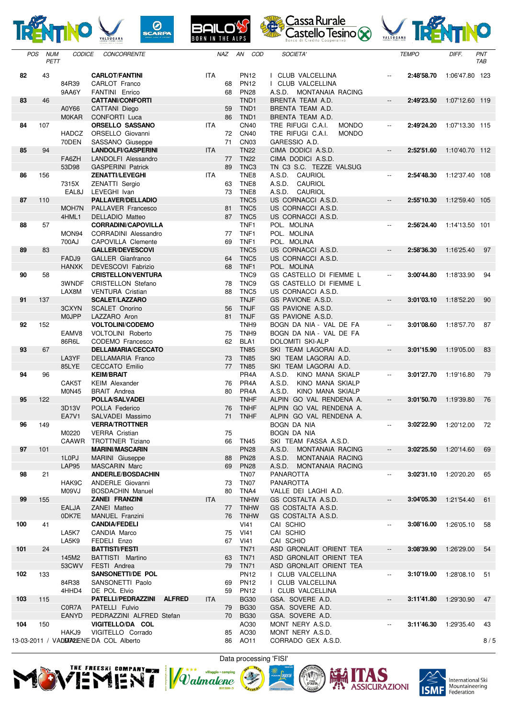









| <b>POS</b> | <b>NUM</b><br>PETT | <b>CODICE</b>         | <b>CONCORRENTE</b>                                     |               |            | <b>NAZ</b> | AN<br>COD                            | SOCIETA'                                                  |                          | <b>TEMPO</b>          | DIFF.          | PNT<br>TAB |
|------------|--------------------|-----------------------|--------------------------------------------------------|---------------|------------|------------|--------------------------------------|-----------------------------------------------------------|--------------------------|-----------------------|----------------|------------|
| 82         | 43                 |                       | <b>CARLOT/FANTINI</b>                                  |               | <b>ITA</b> |            | <b>PN12</b>                          | <b>CLUB VALCELLINA</b>                                    |                          | 2:48'58.70            | 1:06'47.80     | 123        |
|            |                    | 84R39<br>9AA6Y        | CARLOT Franco<br><b>FANTINI</b> Enrico                 |               |            | 68<br>68   | <b>PN12</b><br><b>PN28</b>           | I CLUB VALCELLINA<br>A.S.D.<br>MONTANAIA RACING           |                          |                       |                |            |
| 83         | 46                 |                       | <b>CATTANI/CONFORTI</b>                                |               |            |            | TND <sub>1</sub>                     | BRENTA TEAM A.D.                                          | $\overline{\phantom{a}}$ | 2:49'23.50            | 1:07'12.60 119 |            |
|            |                    | A0Y66<br><b>M0KAR</b> | CATTANI Diego<br><b>CONFORTI Luca</b>                  |               |            | 59<br>86   | TND <sub>1</sub><br>TND <sub>1</sub> | BRENTA TEAM A.D.<br>BRENTA TEAM A.D.                      |                          |                       |                |            |
| 84         | 107                |                       | <b>ORSELLO SASSANO</b>                                 |               | ITA        |            | <b>CN40</b>                          | TRE RIFUGI C.A.I.<br><b>MONDO</b>                         | $\overline{\phantom{a}}$ | 2:49'24.20            | 1:07'13.30 115 |            |
|            |                    | <b>HADCZ</b><br>70DEN | ORSELLO Giovanni<br>SASSANO Giuseppe                   |               |            | 72<br>71   | <b>CN40</b><br>CN <sub>03</sub>      | TRE RIFUGI C.A.I.<br><b>MONDO</b><br>GARESSIO A.D.        |                          |                       |                |            |
| 85         | 94                 |                       | <b>LANDOLFI/GASPERINI</b>                              |               | <b>ITA</b> |            | <b>TN22</b>                          | CIMA DODICI A.S.D.                                        | $\overline{\phantom{a}}$ | 2:52'51.60            | 1:10'40.70 112 |            |
|            |                    | FA6ZH<br>53D98        | LANDOLFI Alessandro<br><b>GASPERINI Patrick</b>        |               |            | 77<br>89   | <b>TN22</b><br>TNC <sub>3</sub>      | CIMA DODICI A.S.D.<br>TN C3 S.C. TEZZE VALSUG             |                          |                       |                |            |
| 86         | 156                |                       | <b>ZENATTI/LEVEGHI</b>                                 |               | <b>ITA</b> |            | TNE8                                 | A.S.D.<br>CAURIOL                                         | $\overline{\phantom{a}}$ | 2:54'48.30            | 1:12'37.40 108 |            |
|            |                    | 7315X                 | ZENATTI Sergio                                         |               |            | 63         | TNE <sub>8</sub>                     | A.S.D.<br>CAURIOL                                         |                          |                       |                |            |
| 87         | 110                | EAL8J                 | LEVEGHI Ivan<br><b>PALLAVER/DELLADIO</b>               |               |            | 73         | TNE8<br>TNC <sub>5</sub>             | A.S.D.<br>CAURIOL<br>US CORNACCI A.S.D.                   | $\overline{\phantom{a}}$ | 2:55'10.30            | 1:12'59.40 105 |            |
|            |                    | MOH7N                 | PALLAVER Francesco                                     |               |            | 81         | TNC <sub>5</sub>                     | US CORNACCI A.S.D.                                        |                          |                       |                |            |
| 88         | 57                 | 4HML1                 | DELLADIO Matteo<br><b>CORRADINI/CAPOVILLA</b>          |               |            | 87         | TNC5<br>TNF <sub>1</sub>             | US CORNACCI A.S.D.<br>POL. MOLINA                         | $\overline{\phantom{a}}$ | 2:56'24.40            | 1:14'13.50 101 |            |
|            |                    | MON94                 | <b>CORRADINI Alessandro</b>                            |               |            | 77         | TNF <sub>1</sub>                     | POL. MOLINA                                               |                          |                       |                |            |
| 89         | 83                 | 700AJ                 | <b>CAPOVILLA Clemente</b><br><b>GALLER/DEVESCOVI</b>   |               |            | 69         | TNF <sub>1</sub><br>TNC <sub>5</sub> | POL. MOLINA<br>US CORNACCI A.S.D.                         | $\overline{\phantom{a}}$ | 2:58'36.30            |                | 97         |
|            |                    | FADJ9                 | <b>GALLER</b> Gianfranco                               |               |            | 64         | TNC <sub>5</sub>                     | US CORNACCI A.S.D.                                        |                          |                       | 1:16'25.40     |            |
|            |                    | <b>HANXK</b>          | DEVESCOVI Fabrizio                                     |               |            | 68         | TNF1                                 | POL. MOLINA                                               |                          |                       |                |            |
| 90         | 58                 | 3WNDF                 | <b>CRISTELLON/VENTURA</b><br><b>CRISTELLON Stefano</b> |               |            | 78         | TNC <sub>9</sub><br>TNC <sub>9</sub> | GS CASTELLO DI FIEMME L<br><b>GS CASTELLO DI FIEMME L</b> | $\overline{\phantom{a}}$ | 3:00'44.80            | 1:18'33.90     | 94         |
|            |                    | LAX8M                 | <b>VENTURA Cristian</b>                                |               |            | 88         | TNC <sub>5</sub>                     | US CORNACCI A.S.D.                                        |                          |                       |                |            |
| 91         | 137                | 3CXYN                 | <b>SCALET/LAZZARO</b><br><b>SCALET Onorino</b>         |               |            | 56         | <b>TNJF</b><br><b>TNJF</b>           | GS PAVIONE A.S.D.<br>GS PAVIONE A.S.D.                    | $\overline{\phantom{a}}$ | 3:01'03.10            | 1:18'52.20     | 90         |
|            |                    | M0JPP                 | LAZZARO Aron                                           |               |            | 81         | <b>TNJF</b>                          | GS PAVIONE A.S.D.                                         |                          |                       |                |            |
| 92         | 152                | EAMV8                 | <b>VOLTOLINI/CODEMO</b><br>VOLTOLINI Roberto           |               |            | 75         | TNH <sub>9</sub><br>TNH <sub>9</sub> | BOGN DA NIA - VAL DE FA<br>BOGN DA NIA - VAL DE FA        | $\overline{\phantom{a}}$ | 3:01'08.60            | 1:18'57.70     | 87         |
|            |                    | 86R6L                 | CODEMO Francesco                                       |               |            | 62         | BLA <sub>1</sub>                     | <b>DOLOMITI SKI-ALP</b>                                   |                          |                       |                |            |
| 93         | 67                 |                       | <b>DELLAMARIA/CECCATO</b>                              |               |            |            | <b>TN85</b>                          | SKI TEAM LAGORAI A.D.                                     | $\overline{\phantom{a}}$ | 3:01'15.90            | 1:19'05.00     | 83         |
|            |                    | LA3YF<br>85LYE        | <b>DELLAMARIA Franco</b><br><b>CECCATO Emilio</b>      |               |            | 73<br>77   | <b>TN85</b><br><b>TN85</b>           | SKI TEAM LAGORAI A.D.<br>SKI TEAM LAGORAI A.D.            |                          |                       |                |            |
| 94         | 96                 |                       | <b>KEIM/BRAIT</b>                                      |               |            |            | PR <sub>4</sub> A                    | A.S.D.<br>KINO MANA SKIALP                                | $\overline{\phantom{a}}$ | 3:01'27.70            | 1:19'16.80     | 79         |
|            |                    | CAK5T<br><b>M0N45</b> | <b>KEIM Alexander</b><br><b>BRAIT Andrea</b>           |               |            | 76<br>80   | PR <sub>4</sub> A<br>PR4A            | A.S.D.<br>KINO MANA SKIALP<br>A.S.D.<br>KINO MANA SKIALP  |                          |                       |                |            |
| 95         | 122                |                       | <b>POLLA/SALVADEI</b>                                  |               |            |            | <b>TNHF</b>                          | ALPIN GO VAL RENDENA A.                                   | $\overline{\phantom{a}}$ | 3:01'50.70            | 1:19'39.80     | 76         |
|            |                    | 3D13V<br><b>EA7V1</b> | POLLA Federico<br>SALVADEI Massimo                     |               |            | 76<br>71   | <b>TNHF</b><br><b>TNHF</b>           | ALPIN GO VAL RENDENA A.<br>ALPIN GO VAL RENDENA A.        |                          |                       |                |            |
| 96         | 149                |                       | <b>VERRA/TROTTNER</b>                                  |               |            |            |                                      | <b>BOGN DA NIA</b>                                        | $\overline{\phantom{a}}$ | 3:02'22.90            | 1:20'12.00     | 72         |
|            |                    | M0220                 | <b>VERRA</b> Cristian                                  |               |            | 75         |                                      | BOGN DA NIA                                               |                          |                       |                |            |
| 97         | 101                |                       | CAAWR TROTTNER Tiziano<br><b>MARINI/MASCARIN</b>       |               |            |            | 66 TN45<br><b>PN28</b>               | SKI TEAM FASSA A.S.D.<br>A.S.D.<br>MONTANAIA RACING       | $\overline{\phantom{a}}$ | 3:02'25.50 1:20'14.60 |                | 69         |
|            |                    | 1L0PJ                 | MARINI Giuseppe                                        |               |            | 88         | <b>PN28</b>                          | A.S.D.<br>MONTANAIA RACING                                |                          |                       |                |            |
| 98         | 21                 | <b>LAP95</b>          | <b>MASCARIN Marc</b><br><b>ANDERLE/BOSDACHIN</b>       |               |            | 69         | <b>PN28</b><br><b>TN07</b>           | A.S.D. MONTANAIA RACING<br><b>PANAROTTA</b>               |                          | 3:02'31.10            | 1:20'20.20     | 65         |
|            |                    | HAK9C                 | ANDERLE Giovanni                                       |               |            | 73         | TN07                                 | PANAROTTA                                                 |                          |                       |                |            |
| 99         | 155                | M09VJ                 | <b>BOSDACHIN Manuel</b><br><b>ZANEI FRANZINI</b>       |               | ITA.       | 80         | TNA4<br><b>TNHW</b>                  | VALLE DEI LAGHI A.D.<br>GS COSTALTA A.S.D.                | $\overline{\phantom{a}}$ | 3:04'05.30            | 1:21'54.40     | 61         |
|            |                    | EALJA                 | ZANEI Matteo                                           |               |            |            | 77 TNHW                              | GS COSTALTA A.S.D.                                        |                          |                       |                |            |
| 100        | 41                 | 0DK7E                 | MANUEL Franzini<br><b>CANDIA/FEDELI</b>                |               |            | 76         | TNHW<br><b>VI41</b>                  | GS COSTALTA A.S.D.<br>CAI SCHIO                           | $\overline{\phantom{a}}$ | 3:08'16.00            | 1:26'05.10     | 58         |
|            |                    | LA5K7                 | CANDIA Marco                                           |               |            | 75         | VI41                                 | CAI SCHIO                                                 |                          |                       |                |            |
| 101        | 24                 | LA5K9                 | FEDELI Enzo<br><b>BATTISTI/FESTI</b>                   |               |            |            | 67 VI41<br><b>TN71</b>               | CAI SCHIO<br>ASD GRONLAIT ORIENT TEA                      | $\overline{\phantom{a}}$ | 3:08'39.90            | 1:26'29.00     | 54         |
|            |                    | 145M2                 | BATTISTI Martino                                       |               |            | 63         | <b>TN71</b>                          | ASD GRONLAIT ORIENT TEA                                   |                          |                       |                |            |
|            |                    | 53CWV                 | FESTI Andrea                                           |               |            | 79         | <b>TN71</b>                          | ASD GRONLAIT ORIENT TEA                                   |                          |                       |                |            |
| 102        | 133                | 84R38                 | SANSONETTI/DE POL<br>SANSONETTI Paolo                  |               |            | 69         | <b>PN12</b><br><b>PN12</b>           | I CLUB VALCELLINA<br>I CLUB VALCELLINA                    | $\overline{\phantom{a}}$ | 3:10'19.00            | 1:28'08.10     | 51         |
|            |                    | 4HHD4                 | DE POL Elvio                                           |               |            | 59         | <b>PN12</b>                          | I CLUB VALCELLINA                                         |                          |                       |                |            |
| 103        | 115                | C0R7A                 | PATELLI/PEDRAZZINI<br>PATELLI Fulvio                   | <b>ALFRED</b> | ITA        | 79         | <b>BG30</b><br><b>BG30</b>           | GSA. SOVERE A.D.<br>GSA. SOVERE A.D.                      | $\overline{\phantom{a}}$ | 3:11'41.80            | 1:29'30.90     | 47         |
|            |                    | <b>EANYD</b>          | PEDRAZZINI ALFRED Stefan                               |               |            | 70         | <b>BG30</b>                          | GSA. SOVERE A.D.                                          |                          |                       |                |            |
| 104        | 150                | HAKJ9                 | VIGITELLO/DA COL<br>VIGITELLO Corrado                  |               |            | 85         | AO30<br>AO30                         | MONT NERY A.S.D.<br>MONT NERY A.S.D.                      |                          | 3:11'46.30            | 1:29'35.40     | 43         |
|            |                    |                       | 13-03-2011 / VADDIALENE DA COL Alberto                 |               |            |            | 86 AO11                              | CORRADO GEX A.S.D.                                        |                          |                       |                | 8/5        |









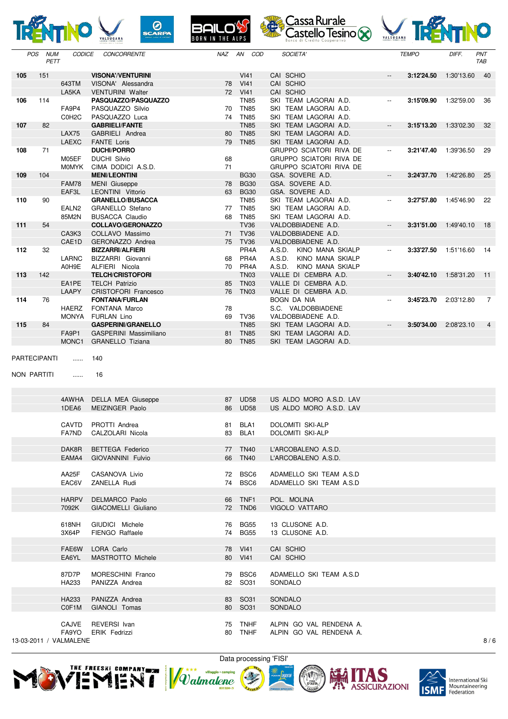

|              | <b>NUM</b><br><b>POS</b><br>PETT | <b>CODICE</b>                   | CONCORRENTE                                        | NAZ |    | AN COD                     | SOCIETA'                                              |                          | <b>TEMPO</b> | DIFF.      | PNT<br>TAB     |
|--------------|----------------------------------|---------------------------------|----------------------------------------------------|-----|----|----------------------------|-------------------------------------------------------|--------------------------|--------------|------------|----------------|
| 105          | 151                              |                                 | <b>VISONA'/VENTURINI</b>                           |     |    | VI41                       | CAI SCHIO                                             | $\overline{a}$           | 3:12'24.50   | 1:30'13.60 | 40             |
|              |                                  | 643TM                           | VISONA' Alessandra                                 |     |    | 78 VI41                    | CAI SCHIO                                             |                          |              |            |                |
|              |                                  | LA5KA                           | <b>VENTURINI Walter</b>                            |     |    | 72 VI41                    | CAI SCHIO                                             |                          |              |            |                |
| 106          | 114                              | FA9P4                           | PASQUAZZO/PASQUAZZO<br>PASQUAZZO Silvio            |     | 70 | <b>TN85</b><br><b>TN85</b> | SKI TEAM LAGORAI A.D.<br>SKI TEAM LAGORAI A.D.        | $\overline{\phantom{a}}$ | 3:15'09.90   | 1:32'59.00 | 36             |
|              |                                  | C0H <sub>2</sub> C              | PASQUAZZO Luca                                     |     | 74 | <b>TN85</b>                | SKI TEAM LAGORAI A.D.                                 |                          |              |            |                |
| 107          | 82                               |                                 | <b>GABRIELI/FANTE</b>                              |     |    | <b>TN85</b>                | SKI TEAM LAGORAI A.D.                                 | $\overline{\phantom{a}}$ | 3:15'13.20   | 1:33'02.30 | 32             |
|              |                                  | <b>LAX75</b>                    | GABRIELI Andrea                                    |     | 80 | <b>TN85</b>                | SKI TEAM LAGORAI A.D.                                 |                          |              |            |                |
|              |                                  | <b>LAEXC</b>                    | <b>FANTE Loris</b>                                 |     | 79 | <b>TN85</b>                | SKI TEAM LAGORAI A.D.                                 |                          |              |            |                |
| 108          | 71                               | M05EF                           | <b>DUCHI/PORRO</b><br><b>DUCHI Silvio</b>          |     | 68 |                            | GRUPPO SCIATORI RIVA DE<br>GRUPPO SCIATORI RIVA DE    | $\overline{\phantom{a}}$ | 3:21'47.40   | 1:39'36.50 | 29             |
|              |                                  | <b>MOMYK</b>                    | CIMA DODICI A.S.D.                                 |     | 71 |                            | GRUPPO SCIATORI RIVA DE                               |                          |              |            |                |
| 109          | 104                              |                                 | <b>MENI/LEONTINI</b>                               |     |    | <b>BG30</b>                | GSA. SOVERE A.D.                                      | $\overline{\phantom{a}}$ | 3:24'37.70   | 1:42'26.80 | 25             |
|              |                                  | <b>FAM78</b>                    | <b>MENI</b> Giuseppe                               |     | 78 | <b>BG30</b>                | GSA. SOVERE A.D.                                      |                          |              |            |                |
|              |                                  | EAF3L                           | LEONTINI Vittorio                                  |     | 63 | <b>BG30</b>                | GSA. SOVERE A.D.                                      |                          |              |            |                |
| 110          | 90                               | EALN <sub>2</sub>               | <b>GRANELLO/BUSACCA</b><br><b>GRANELLO Stefano</b> |     | 77 | <b>TN85</b><br><b>TN85</b> | SKI TEAM LAGORAI A.D.<br>SKI TEAM LAGORAI A.D.        | $\overline{\phantom{a}}$ | 3:27'57.80   | 1:45'46.90 | 22             |
|              |                                  | 85M2N                           | <b>BUSACCA Claudio</b>                             |     | 68 | <b>TN85</b>                | SKI TEAM LAGORAI A.D.                                 |                          |              |            |                |
| 111          | 54                               |                                 | <b>COLLAVO/GERONAZZO</b>                           |     |    | <b>TV36</b>                | VALDOBBIADENE A.D.                                    | $\overline{\phantom{a}}$ | 3:31'51.00   | 1:49'40.10 | -18            |
|              |                                  | CA3K3                           | COLLAVO Massimo                                    |     | 71 | <b>TV36</b>                | VALDOBBIADENE A.D.                                    |                          |              |            |                |
|              |                                  | CAE1D                           | GERONAZZO Andrea                                   |     |    | 75 TV36                    | VALDOBBIADENE A.D.                                    |                          |              |            |                |
| 112          | 32                               | LARNC                           | <b>BIZZARRI/ALFIERI</b><br>BIZZARRI Giovanni       |     | 68 | PR <sub>4</sub> A<br>PR4A  | A.S.D. KINO MANA SKIALP<br>A.S.D.<br>KINO MANA SKIALP | $\overline{\phantom{a}}$ | 3:33'27.50   | 1:51'16.60 | -14            |
|              |                                  | A0H9E                           | ALFIERI Nicola                                     |     | 70 | PR4A                       | A.S.D.<br>KINO MANA SKIALP                            |                          |              |            |                |
| 113          | 142                              |                                 | <b>TELCH/CRISTOFORI</b>                            |     |    | <b>TN03</b>                | VALLE DI CEMBRA A.D.                                  | $\overline{\phantom{a}}$ | 3:40'42.10   | 1:58'31.20 | 11             |
|              |                                  | EA1PE                           | <b>TELCH Patrizio</b>                              |     | 85 | <b>TN03</b>                | VALLE DI CEMBRA A.D.                                  |                          |              |            |                |
|              |                                  | LAAPY                           | <b>CRISTOFORI Francesco</b>                        |     | 76 | <b>TN03</b>                | VALLE DI CEMBRA A.D.                                  |                          |              |            |                |
| 114          | 76                               | <b>HAERZ</b>                    | <b>FONTANA/FURLAN</b><br>FONTANA Marco             |     | 78 |                            | <b>BOGN DA NIA</b><br>S.C. VALDOBBIADENE              | $\overline{\phantom{a}}$ | 3:45'23.70   | 2:03'12.80 | $\overline{7}$ |
|              |                                  | MONYA                           | <b>FURLAN Lino</b>                                 |     | 69 | TV36                       | VALDOBBIADENE A.D.                                    |                          |              |            |                |
| 115          | 84                               |                                 | <b>GASPERINI/GRANELLO</b>                          |     |    | <b>TN85</b>                | SKI TEAM LAGORAI A.D.                                 | $\overline{\phantom{a}}$ | 3:50'34.00   | 2:08'23.10 | $\overline{4}$ |
|              |                                  | FA9P1                           | GASPERINI Massimiliano                             |     | 81 | <b>TN85</b>                | SKI TEAM LAGORAI A.D.                                 |                          |              |            |                |
|              |                                  | MONC1                           | <b>GRANELLO Tiziana</b>                            |     | 80 | <b>TN85</b>                | SKI TEAM LAGORAI A.D.                                 |                          |              |            |                |
| PARTECIPANTI |                                  | .                               | 140                                                |     |    |                            |                                                       |                          |              |            |                |
|              |                                  |                                 |                                                    |     |    |                            |                                                       |                          |              |            |                |
| NON PARTITI  |                                  | .                               | 16                                                 |     |    |                            |                                                       |                          |              |            |                |
|              |                                  |                                 |                                                    |     |    |                            |                                                       |                          |              |            |                |
|              |                                  | 4AWHA                           | DELLA MEA Giuseppe                                 |     | 87 | <b>UD58</b>                | US ALDO MORO A.S.D. LAV                               |                          |              |            |                |
|              |                                  | 1DEA6                           | MEIZINGER Paolo                                    |     | 86 | <b>UD58</b>                | US ALDO MORO A.S.D. LAV                               |                          |              |            |                |
|              |                                  |                                 |                                                    |     |    |                            |                                                       |                          |              |            |                |
|              |                                  |                                 |                                                    |     |    |                            |                                                       |                          |              |            |                |
|              |                                  | CAVTD                           | PROTTI Andrea                                      |     | 81 | BLA <sub>1</sub>           | DOLOMITI SKI-ALP                                      |                          |              |            |                |
|              |                                  | FA7ND                           | CALZOLARI Nicola                                   |     | 83 | BLA1                       | DOLOMITI SKI-ALP                                      |                          |              |            |                |
|              |                                  | DAK8R                           | <b>BETTEGA Federico</b>                            |     |    | 77 TN40                    | L'ARCOBALENO A.S.D.                                   |                          |              |            |                |
|              |                                  | EAMA4                           | GIOVANNINI Fulvio                                  |     |    | 66 TN40                    | L'ARCOBALENO A.S.D.                                   |                          |              |            |                |
|              |                                  |                                 |                                                    |     |    |                            |                                                       |                          |              |            |                |
|              |                                  | AA25F<br>EAC6V                  | CASANOVA Livio<br>ZANELLA Rudi                     |     |    | 72 BSC6<br>74 BSC6         | ADAMELLO SKI TEAM A.S.D<br>ADAMELLO SKI TEAM A.S.D    |                          |              |            |                |
|              |                                  |                                 |                                                    |     |    |                            |                                                       |                          |              |            |                |
|              |                                  | <b>HARPV</b>                    | DELMARCO Paolo                                     |     |    | 66 TNF1                    | POL. MOLINA                                           |                          |              |            |                |
|              |                                  | 7092K                           | GIACOMELLI Giuliano                                |     |    | 72 TND6                    | VIGOLO VATTARO                                        |                          |              |            |                |
|              |                                  |                                 |                                                    |     |    |                            |                                                       |                          |              |            |                |
|              |                                  | 618NH<br>3X64P                  | GIUDICI Michele<br>FIENGO Raffaele                 |     |    | 76 BG55<br>74 BG55         | 13 CLUSONE A.D.<br>13 CLUSONE A.D.                    |                          |              |            |                |
|              |                                  |                                 |                                                    |     |    |                            |                                                       |                          |              |            |                |
|              |                                  | FAE6W                           | LORA Carlo                                         |     |    | 78 VI41                    | CAI SCHIO                                             |                          |              |            |                |
|              |                                  | EA6YL                           | MASTROTTO Michele                                  |     |    | 80 VI41                    | CAI SCHIO                                             |                          |              |            |                |
|              |                                  | 87D7P                           | MORESCHINI Franco                                  |     |    | 79 BSC6                    | ADAMELLO SKI TEAM A.S.D                               |                          |              |            |                |
|              |                                  | HA233                           | PANIZZA Andrea                                     |     |    | 82 SO31                    | SONDALO                                               |                          |              |            |                |
|              |                                  |                                 |                                                    |     |    |                            |                                                       |                          |              |            |                |
|              |                                  | HA233                           | PANIZZA Andrea                                     |     |    | 83 SO31                    | SONDALO                                               |                          |              |            |                |
|              |                                  | C0F1M                           | GIANOLI Tomas                                      |     |    | 80 SO31                    | SONDALO                                               |                          |              |            |                |
|              |                                  | CAJVE                           | REVERSI Ivan                                       |     |    | 75 TNHF                    | ALPIN GO VAL RENDENA A.                               |                          |              |            |                |
|              |                                  | FA9YO<br>13-03-2011 / VALMALENE | <b>ERIK Fedrizzi</b>                               |     | 80 | <b>TNHF</b>                | ALPIN GO VAL RENDENA A.                               |                          |              |            | 8/6            |







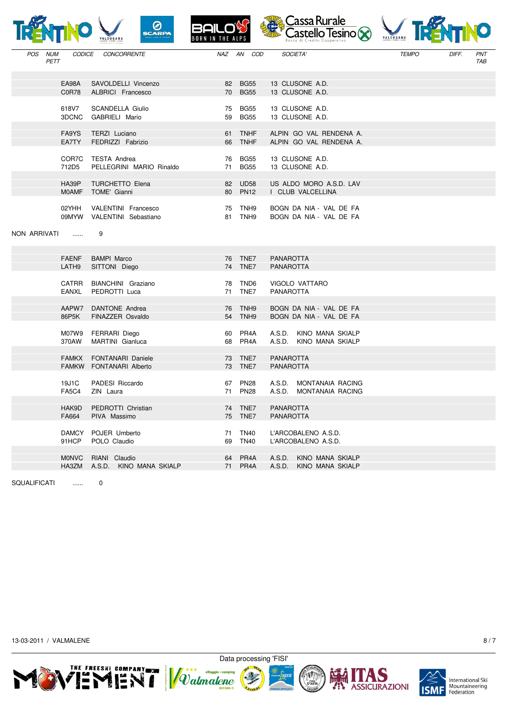|                           |                       | $\overline{\mathcal{O}}$<br><b>SCARPA</b><br>ALSUGANA | <b>BORN IN THE ALPS</b> |                                      | Cassa Rurale<br>Castello Tesino (X)                      | VALSUGANA    |       |                   |
|---------------------------|-----------------------|-------------------------------------------------------|-------------------------|--------------------------------------|----------------------------------------------------------|--------------|-------|-------------------|
| POS<br><b>NUM</b><br>PETT | <b>CODICE</b>         | <b>CONCORRENTE</b>                                    | NAZ                     | AN<br>COD                            | SOCIETA'                                                 | <b>TEMPO</b> | DIFF. | PNT<br><b>TAB</b> |
|                           | EA98A<br>C0R78        | SAVOLDELLI Vincenzo<br>ALBRICI Francesco              | 82<br>70                | <b>BG55</b><br><b>BG55</b>           | 13 CLUSONE A.D.<br>13 CLUSONE A.D.                       |              |       |                   |
|                           | 618V7<br>3DCNC        | SCANDELLA Giulio<br>GABRIELI Mario                    | 75<br>59                | <b>BG55</b><br><b>BG55</b>           | 13 CLUSONE A.D.<br>13 CLUSONE A.D.                       |              |       |                   |
|                           | FA9YS<br>EA7TY        | <b>TERZI</b> Luciano<br>FEDRIZZI Fabrizio             | 61<br>66                | <b>TNHF</b><br><b>TNHF</b>           | ALPIN GO VAL RENDENA A.<br>ALPIN GO VAL RENDENA A.       |              |       |                   |
|                           | COR7C<br>712D5        | <b>TESTA Andrea</b><br>PELLEGRINI MARIO Rinaldo       | 76<br>71                | <b>BG55</b><br><b>BG55</b>           | 13 CLUSONE A.D.<br>13 CLUSONE A.D.                       |              |       |                   |
|                           | HA39P<br><b>MOAMF</b> | <b>TURCHETTO Elena</b><br>TOME' Gianni                | 82<br>80                | <b>UD58</b><br><b>PN12</b>           | US ALDO MORO A.S.D. LAV<br>I CLUB VALCELLINA             |              |       |                   |
|                           | 02YHH<br>09MYW        | VALENTINI Francesco<br>VALENTINI Sebastiano           | 75<br>81                | TNH <sub>9</sub><br>TNH <sub>9</sub> | BOGN DA NIA - VAL DE FA<br>BOGN DA NIA - VAL DE FA       |              |       |                   |
| NON ARRIVATI              | <b></b>               | 9                                                     |                         |                                      |                                                          |              |       |                   |
|                           | <b>FAENF</b><br>LATH9 | <b>BAMPI Marco</b><br>SITTONI Diego                   | 76<br>74                | TNE7<br>TNE7                         | <b>PANAROTTA</b><br><b>PANAROTTA</b>                     |              |       |                   |
|                           | <b>CATRR</b><br>EANXL | BIANCHINI Graziano<br>PEDROTTI Luca                   | 78<br>71                | TND <sub>6</sub><br>TNE7             | VIGOLO VATTARO<br><b>PANAROTTA</b>                       |              |       |                   |
|                           | AAPW7<br>86P5K        | DANTONE Andrea<br>FINAZZER Osvaldo                    | 76<br>54                | TNH <sub>9</sub><br>TNH <sub>9</sub> | BOGN DA NIA - VAL DE FA<br>BOGN DA NIA - VAL DE FA       |              |       |                   |
|                           | M07W9<br>370AW        | FERRARI Diego<br>MARTINI Gianluca                     | 60<br>68                | PR4A<br>PR <sub>4</sub> A            | A.S.D.<br>KINO MANA SKIALP<br>A.S.D.<br>KINO MANA SKIALP |              |       |                   |
|                           | <b>FAMKX</b><br>FAMKW | <b>FONTANARI</b> Daniele<br>FONTANARI Alberto         | 73<br>73                | TNE7<br>TNE7                         | <b>PANAROTTA</b><br><b>PANAROTTA</b>                     |              |       |                   |
|                           | 19J1C<br><b>FA5C4</b> | PADESI Riccardo<br>ZIN Laura                          | 67<br>71                | <b>PN28</b><br><b>PN28</b>           | A.S.D.<br>MONTANAIA RACING<br>A.S.D. MONTANAIA RACING    |              |       |                   |
|                           | HAK9D<br>FA664        | PEDROTTI Christian<br>PIVA Massimo                    |                         | 74 TNE7<br>75 TNE7                   | <b>PANAROTTA</b><br><b>PANAROTTA</b>                     |              |       |                   |
|                           | <b>DAMCY</b><br>91HCP | POJER Umberto<br>POLO Claudio                         | 71<br>69                | <b>TN40</b><br><b>TN40</b>           | L'ARCOBALENO A.S.D.<br>L'ARCOBALENO A.S.D.               |              |       |                   |
|                           | <b>MONVC</b><br>HA3ZM | RIANI Claudio<br>A.S.D. KINO MANA SKIALP              | 64<br>71                | PR4A<br>PR4A                         | A.S.D.<br>KINO MANA SKIALP<br>A.S.D.<br>KINO MANA SKIALP |              |       |                   |

SQUALIFICATI ...... 0

13-03-2011 / VALMALENE 8/7







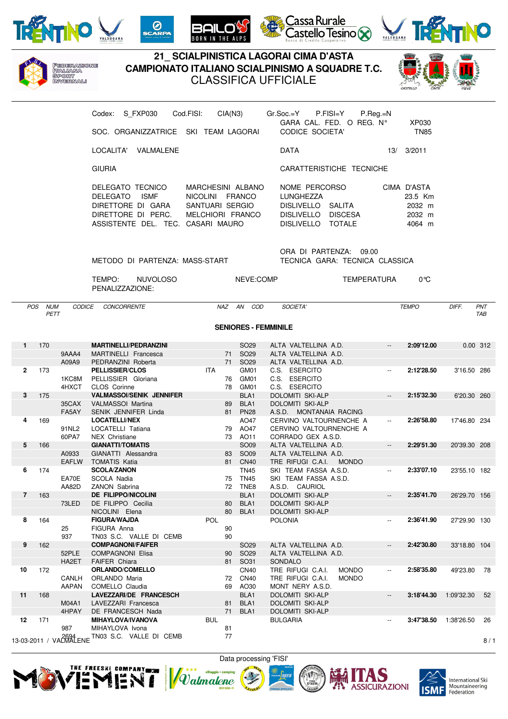

Federazione<br>Italiana<br>Sport<br>Invernali







## **21\_ SCIALPINISTICA LAGORAI CIMA D'ASTA CAMPIONATO ITALIANO SCIALPINISMO A SQUADRE T.C.** CLASSIFICA UFFICIALE

THE **ALPS** 



|              |                 |                         | Codex: S FXP030<br>SOC. ORGANIZZATRICE SKI TEAM LAGORAI                                                                     | Cod.FISI:<br>CIA(N3)                                                        |                                  | Gr.Soc.=Y<br>P.FISI=Y<br>GARA CAL. FED. O REG. Nº<br>CODICE SOCIETA'                                | $P_{\cdot}$ Reg $_{\cdot}$ =N                       | XP030<br><b>TN85</b>                                 |               |            |
|--------------|-----------------|-------------------------|-----------------------------------------------------------------------------------------------------------------------------|-----------------------------------------------------------------------------|----------------------------------|-----------------------------------------------------------------------------------------------------|-----------------------------------------------------|------------------------------------------------------|---------------|------------|
|              |                 |                         | LOCALITA' VALMALENE                                                                                                         |                                                                             |                                  | DATA                                                                                                |                                                     | 13/ 3/2011                                           |               |            |
|              |                 |                         | <b>GIURIA</b>                                                                                                               |                                                                             |                                  | CARATTERISTICHE TECNICHE                                                                            |                                                     |                                                      |               |            |
|              |                 |                         | DELEGATO TECNICO<br>DELEGATO<br><b>ISMF</b><br>DIRETTORE DI GARA<br>DIRETTORE DI PERC.<br>ASSISTENTE DEL. TEC. CASARI MAURO | MARCHESINI ALBANO<br>NICOLINI FRANCO<br>SANTUARI SERGIO<br>MELCHIORI FRANCO |                                  | NOME PERCORSO<br>LUNGHEZZA<br>DISLIVELLO SALITA<br>DISLIVELLO DISCESA<br>DISLIVELLO TOTALE          |                                                     | CIMA D'ASTA<br>23.5 Km<br>2032 m<br>2032 m<br>4064 m |               |            |
|              |                 |                         | METODO DI PARTENZA: MASS-START                                                                                              |                                                                             |                                  | ORA DI PARTENZA: 09.00<br>TECNICA GARA: TECNICA CLASSICA                                            |                                                     |                                                      |               |            |
|              |                 |                         | TEMPO:<br><b>NUVOLOSO</b><br>PENALIZZAZIONE:                                                                                |                                                                             | NEVE:COMP                        |                                                                                                     | TEMPERATURA                                         | 0°C                                                  |               |            |
|              | POS NUM<br>PETT |                         | CODICE CONCORRENTE                                                                                                          | NAZ AN COD                                                                  |                                  | SOCIETA'                                                                                            |                                                     | <b>TEMPO</b>                                         | DIFF.         | PNT<br>TAB |
|              |                 |                         |                                                                                                                             |                                                                             | <b>SENIORES - FEMMINILE</b>      |                                                                                                     |                                                     |                                                      |               |            |
| 1            | 170             | 9AAA4                   | <b>MARTINELLI/PEDRANZINI</b><br>MARTINELLI Francesca                                                                        | 71 SO29                                                                     | SO <sub>29</sub>                 | ALTA VALTELLINA A.D.<br>ALTA VALTELLINA A.D.                                                        | $\overline{\phantom{a}}$                            | 2:09'12.00                                           | 0.00 312      |            |
| $\mathbf{2}$ | 173             | A09A9<br>1KC8M<br>4HXCT | PEDRANZINI Roberta<br><b>PELLISSIER/CLOS</b><br>PELLISSIER Gloriana<br><b>CLOS</b> Corinne                                  | 71 SO29<br>ITA<br>76 GM01<br>78 GM01                                        | GM01                             | ALTA VALTELLINA A.D.<br>C.S. ESERCITO<br>C.S. ESERCITO<br>C.S. ESERCITO                             |                                                     | 2:12'28.50                                           | 3'16.50 286   |            |
| 3            | 175             | 35CAX                   | <b>VALMASSOI/SENIK JENNIFER</b><br>VALMASSOI Martina                                                                        | 89 BLA1                                                                     | BLA <sub>1</sub>                 | DOLOMITI SKI-ALP<br><b>DOLOMITI SKI-ALP</b>                                                         |                                                     | 2:15'32.30                                           | 6'20.30 260   |            |
| 4            | 169             | FA5AY<br>91NL2<br>60PA7 | SENIK JENNIFER Linda<br><b>LOCATELLI/NEX</b><br>LOCATELLI Tatiana<br>NEX Christiane                                         | 81 PN28<br>79 AO47<br>73 AO11                                               | AO47                             | A.S.D. MONTANAIA RACING<br>CERVINO VALTOURNENCHE A<br>CERVINO VALTOURNENCHE A<br>CORRADO GEX A.S.D. | $\overline{\phantom{a}}$                            | 2:26'58.80                                           | 17'46.80 234  |            |
| 5            | 166             | A0933<br><b>EAFLW</b>   | <b>GIANATTI/TOMATIS</b><br>GIANATTI Alessandra<br>TOMATIS Katia                                                             | 83 SO09<br>81 CN40                                                          | SO09                             | ALTA VALTELLINA A.D.<br>ALTA VALTELLINA A.D.<br>TRE RIFUGI C.A.I.<br><b>MONDO</b>                   | $\overline{\phantom{a}}$                            | 2:29'51.30                                           | 20'39.30 208  |            |
| 6            | 174             | EA70E                   | <b>SCOLA/ZANON</b><br>SCOLA Nadia<br>AA82D ZANON Sabrina                                                                    | 75 TN45<br>72 TNE8                                                          | <b>TN45</b>                      | SKI TEAM FASSA A.S.D.<br>SKI TEAM FASSA A.S.D.<br>A.S.D. CAURIOL                                    | $\overline{\phantom{a}}$                            | 2:33'07.10                                           | 23'55.10 182  |            |
| 7            | 163             | 73LED                   | <b>DE FILIPPO/NICOLINI</b><br>DE FILIPPO Cecilia<br>NICOLINI Elena                                                          | 80 BLA1<br>80                                                               | BLA <sub>1</sub><br>BLA1         | DOLOMITI SKI-ALP<br>DOLOMITI SKI-ALP<br>DOLOMITI SKI-ALP                                            |                                                     | 2:35'41.70                                           | 26'29.70 156  |            |
| 8            | 164             | 25<br>937               | <b>FIGURA/WAJDA</b><br>FIGURA Anna<br>TN03 S.C. VALLE DI CEMB                                                               | <b>POL</b><br>90<br>90                                                      |                                  | <b>POLONIA</b>                                                                                      | $\hspace{0.05cm} -\hspace{0.05cm} -\hspace{0.05cm}$ | 2:36'41.90                                           | 27'29.90 130  |            |
| 9            | 162             | 52PLE<br>HA2ET          | <b>COMPAGNONI/FAIFER</b><br><b>COMPAGNONI Elisa</b><br><b>FAIFER Chiara</b>                                                 | 90 SO29<br>81                                                               | SO <sub>29</sub><br>SO31         | ALTA VALTELLINA A.D.<br>ALTA VALTELLINA A.D.<br>SONDALO                                             | $\overline{\phantom{a}}$                            | 2:42'30.80                                           | 33'18.80 104  |            |
| 10           | 172             | CANLH<br><b>AAPAN</b>   | <b>ORLANDO/COMELLO</b><br>ORLANDO Maria<br>COMELLO Claudia                                                                  | 72<br>69                                                                    | <b>CN40</b><br>CN40<br>AO30      | TRE RIFUGI C.A.I.<br><b>MONDO</b><br>TRE RIFUGI C.A.I.<br><b>MONDO</b><br>MONT NERY A.S.D.          |                                                     | 2:58'35.80                                           | 49'23.80 78   |            |
| 11           | 168             | M04A1<br>4HPAY          | LAVEZZARI/DE FRANCESCH<br>LAVEZZARI Francesca<br>DE FRANCESCH Nada                                                          | 81<br>71                                                                    | BLA1<br>BLA <sub>1</sub><br>BLA1 | DOLOMITI SKI-ALP<br>DOLOMITI SKI-ALP<br>DOLOMITI SKI-ALP                                            |                                                     | 3:18'44.30                                           | 1:09'32.30 52 |            |
| 12           | 171             | 987                     | <b>MIHAYLOVA/IVANOVA</b><br>MIHAYLOVA Ivona                                                                                 | <b>BUL</b><br>81                                                            |                                  | <b>BULGARIA</b>                                                                                     |                                                     | 3:47'38.50                                           | 1:38'26.50    | 26         |

13-03-2011 / VAL $\frac{2694}{2}$ ENE TN03 S.C. VALLE DI CEMB 77 13-03-2011 / VAL $\frac{2694}{2}$  = 8 / 1





mning Valmalene **CONTROL** 





International Ski<br>Mountaineering Federation